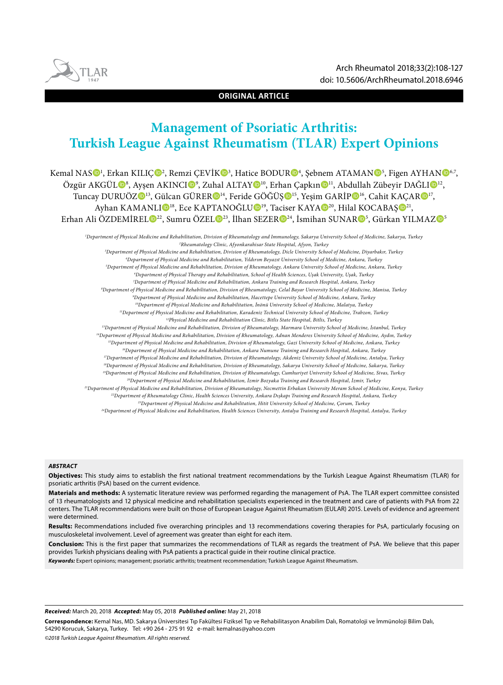

**ORIGINAL ARTICLE**

# **Management of Psoriatic Arthritis: Turkish League Against Rheumatism (TLAR) Expert Opinions**

Kemal NAS $\mathbf{O}^1$ , Erkan KILIÇ $\mathbf{O}^2$ , Remzi ÇEVİK $\mathbf{O}^3$ , Hatice BODUR $\mathbf{O}^4$ , Şebnem ATAMAN $\mathbf{O}^5$ , Figen AYHAN $\mathbf{O}^{6,7}$ , Özgür AKGÜL®<sup>8</sup>, Ayşen AKINCI®<sup>9</sup>, Zuhal ALTAY®<sup>10</sup>, Erhan Çapkın®<sup>11</sup>, Abdullah Zübeyir DAĞLI®<sup>12</sup>, Tuncay DURUÖZ<sup>013</sup>, Gülcan GÜRER<sup>014</sup>, Feride GÖĞÜŞ<sup>015</sup>, Yeşim GARİP<sup>016</sup>, Cahit KAÇAR<sup>017</sup>, Ayhan KAMANLI<sup>D18</sup>, Ece KAPTANOĞLUD<sup>19</sup>, Taciser KAYAD<sup>20</sup>, Hilal KOCABAŞD<sup>21</sup>, Erhan Ali ÖZDEMİREL $\mathbf{D}^{22}$ , Sumru ÖZEL $\mathbf{D}^{23}$ , İlhan SEZER $\mathbf{D}^{24}$ , İsmihan SUNAR $\mathbf{D}^{5}$ , Gürkan YILMAZ $\mathbf{D}^{5}$ 

*1 Department of Physical Medicine and Rehabilitation, Division of Rheumatology and Immunology, Sakarya University School of Medicine, Sakarya, Turkey 2 Rheumatology Clinic, Afyonkarahisar State Hospital, Afyon, Turkey*

*3 Department of Physical Medicine and Rehabilitation, Division of Rheumatology, Dicle University School of Medicine, Diyarbakır, Turkey 4 Department of Physical Medicine and Rehabilitation, Yıldırım Beyazıt University School of Medicine, Ankara, Turkey 5 Department of Physical Medicine and Rehabilitation, Division of Rheumatology, Ankara University School of Medicine, Ankara, Turkey 6 Department of Physical Therapy and Rehabilitation, School of Health Sciences, Uşak University, Uşak, Turkey 7 Department of Physical Medicine and Rehabilitation, Ankara Training and Research Hospital, Ankara, Turkey 8 Department of Physical Medicine and Rehabilitation, Division of Rheumatology, Celal Bayar University School of Medicine, Manisa, Turkey 9 Department of Physical Medicine and Rehabilitation, Hacettepe University School of Medicine, Ankara, Turkey 10Department of Physical Medicine and Rehabilitation, İnönü University School of Medicine, Malatya, Turkey 11Department of Physical Medicine and Rehabilitation, Karadeniz Technical University School of Medicine, Trabzon, Turkey 12Physical Medicine and Rehabilitation Clinic, Bitlis State Hospital, Bitlis, Turkey 13Department of Physical Medicine and Rehabilitation, Division of Rheumatology, Marmara University School of Medicine, İstanbul, Turkey 14Department of Physical Medicine and Rehabilitation, Division of Rheumatology, Adnan Menderes University School of Medicine, Aydın, Turkey 15Department of Physical Medicine and Rehabilitation, Division of Rheumatology, Gazi University School of Medicine, Ankara, Turkey 16Department of Physical Medicine and Rehabilitation, Ankara Numune Training and Research Hospital, Ankara, Turkey 17Department of Physical Medicine and Rehabilitation, Division of Rheumatology, Akdeniz University School of Medicine, Antalya, Turkey 18Department of Physical Medicine and Rehabilitation, Division of Rheumatology, Sakarya University School of Medicine, Sakarya, Turkey 19Department of Physical Medicine and Rehabilitation, Division of Rheumatology, Cumhuriyet University School of Medicine, Sivas, Turkey 20Department of Physical Medicine and Rehabilitation, İzmir Bozyaka Training and Research Hospital, İzmir, Turkey 21Department of Physical Medicine and Rehabilitation, Division of Rheumatology, Necmettin Erbakan University Meram School of Medicine, Konya, Turkey 22Department of Rheumatology Clinic, Health Sciences University, Ankara Dışkapı Training and Research Hospital, Ankara, Turkey 23Department of Physical Medicine and Rehabilitation, Hitit University School of Medicine, Çorum, Turkey*

*24Department of Physical Medicine and Rehabilitation, Health Sciences University, Antalya Training and Research Hospital, Antalya, Turkey*

#### *ABSTRACT*

**Objectives:** This study aims to establish the first national treatment recommendations by the Turkish League Against Rheumatism (TLAR) for psoriatic arthritis (PsA) based on the current evidence.

**Materials and methods:** A systematic literature review was performed regarding the management of PsA. The TLAR expert committee consisted of 13 rheumatologists and 12 physical medicine and rehabilitation specialists experienced in the treatment and care of patients with PsA from 22 centers. The TLAR recommendations were built on those of European League Against Rheumatism (EULAR) 2015. Levels of evidence and agreement were determined.

**Results:** Recommendations included five overarching principles and 13 recommendations covering therapies for PsA, particularly focusing on musculoskeletal involvement. Level of agreement was greater than eight for each item.

**Conclusion:** This is the first paper that summarizes the recommendations of TLAR as regards the treatment of PsA. We believe that this paper provides Turkish physicians dealing with PsA patients a practical guide in their routine clinical practice.

*Keywords:* Expert opinions; management; psoriatic arthritis; treatment recommendation; Turkish League Against Rheumatism.

*Received:* March 20, 2018 *Accepted:* May 05, 2018 *Published online:* May 21, 2018

**Correspondence:** Kemal Nas, MD. Sakarya Üniversitesi Tıp Fakültesi Fiziksel Tıp ve Rehabilitasyon Anabilim Dalı, Romatoloji ve İmmünoloji Bilim Dalı, 54290 Korucuk, Sakarya, Turkey. Tel: +90 264 - 275 91 92 e-mail: kemalnas@yahoo.com

*©2018 Turkish League Against Rheumatism. All rights reserved.*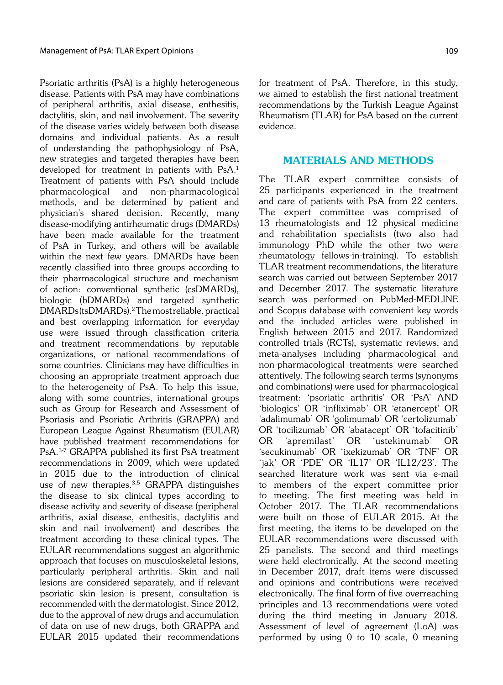Psoriatic arthritis (PsA) is a highly heterogeneous disease. Patients with PsA may have combinations of peripheral arthritis, axial disease, enthesitis, dactylitis, skin, and nail involvement. The severity of the disease varies widely between both disease domains and individual patients. As a result of understanding the pathophysiology of PsA, new strategies and targeted therapies have been developed for treatment in patients with PsA.<sup>1</sup> Treatment of patients with PsA should include pharmacological and non-pharmacological methods, and be determined by patient and physician's shared decision. Recently, many disease-modifying antirheumatic drugs (DMARDs) have been made available for the treatment of PsA in Turkey, and others will be available within the next few years. DMARDs have been recently classified into three groups according to their pharmacological structure and mechanism of action: conventional synthetic (csDMARDs), biologic (bDMARDs) and targeted synthetic DMARDs (tsDMARDs).2 The most reliable, practical and best overlapping information for everyday use were issued through classification criteria and treatment recommendations by reputable organizations, or national recommendations of some countries. Clinicians may have difficulties in choosing an appropriate treatment approach due to the heterogeneity of PsA. To help this issue, along with some countries, international groups such as Group for Research and Assessment of Psoriasis and Psoriatic Arthritis (GRAPPA) and European League Against Rheumatism (EULAR) have published treatment recommendations for PsA.3-7 GRAPPA published its first PsA treatment recommendations in 2009, which were updated in 2015 due to the introduction of clinical use of new therapies.<sup>3,5</sup> GRAPPA distinguishes the disease to six clinical types according to disease activity and severity of disease (peripheral arthritis, axial disease, enthesitis, dactylitis and skin and nail involvement) and describes the treatment according to these clinical types. The EULAR recommendations suggest an algorithmic approach that focuses on musculoskeletal lesions, particularly peripheral arthritis. Skin and nail lesions are considered separately, and if relevant psoriatic skin lesion is present, consultation is recommended with the dermatologist. Since 2012, due to the approval of new drugs and accumulation of data on use of new drugs, both GRAPPA and EULAR 2015 updated their recommendations for treatment of PsA. Therefore, in this study, we aimed to establish the first national treatment recommendations by the Turkish League Against Rheumatism (TLAR) for PsA based on the current evidence.

#### MATERIALS AND METHODS

The TLAR expert committee consists of 25 participants experienced in the treatment and care of patients with PsA from 22 centers. The expert committee was comprised of 13 rheumatologists and 12 physical medicine and rehabilitation specialists (two also had immunology PhD while the other two were rheumatology fellows-in-training). To establish TLAR treatment recommendations, the literature search was carried out between September 2017 and December 2017. The systematic literature search was performed on PubMed-MEDLINE and Scopus database with convenient key words and the included articles were published in English between 2015 and 2017. Randomized controlled trials (RCTs), systematic reviews, and meta-analyses including pharmacological and non-pharmacological treatments were searched attentively. The following search terms (synonyms and combinations) were used for pharmacological treatment: 'psoriatic arthritis' OR 'PsA' AND 'biologics' OR 'infliximab' OR 'etanercept' OR 'adalimumab' OR 'golimumab' OR 'certolizumab' OR 'tocilizumab' OR 'abatacept' OR 'tofacitinib' OR 'apremilast' OR 'ustekinumab' OR 'secukinumab' OR 'ixekizumab' OR 'TNF' OR 'jak' OR 'PDE' OR 'IL17' OR 'IL12/23'. The searched literature work was sent via e-mail to members of the expert committee prior to meeting. The first meeting was held in October 2017. The TLAR recommendations were built on those of EULAR 2015. At the first meeting, the items to be developed on the EULAR recommendations were discussed with 25 panelists. The second and third meetings were held electronically. At the second meeting in December 2017, draft items were discussed and opinions and contributions were received electronically. The final form of five overreaching principles and 13 recommendations were voted during the third meeting in January 2018. Assessment of level of agreement (LoA) was performed by using 0 to 10 scale, 0 meaning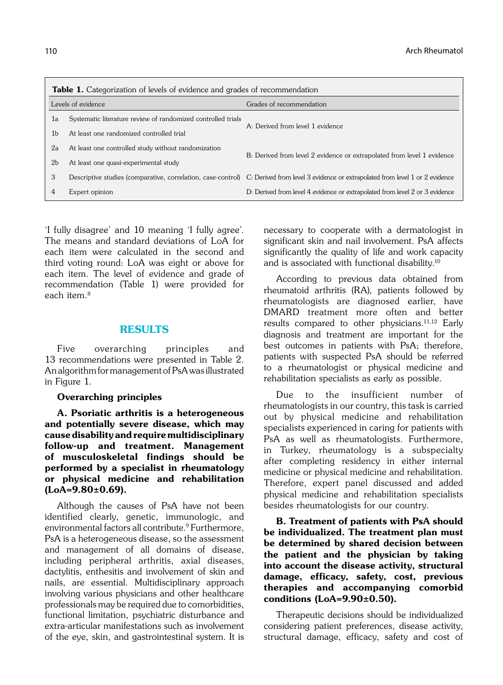| <b>Table 1.</b> Categorization of levels of evidence and grades of recommendation |                                                              |                                                                                                                                          |  |  |
|-----------------------------------------------------------------------------------|--------------------------------------------------------------|------------------------------------------------------------------------------------------------------------------------------------------|--|--|
| Levels of evidence                                                                |                                                              | Grades of recommendation                                                                                                                 |  |  |
| la                                                                                | Systematic literature review of randomized controlled trials | A: Derived from level 1 evidence                                                                                                         |  |  |
| 1 <sub>b</sub>                                                                    | At least one randomized controlled trial                     |                                                                                                                                          |  |  |
| 2a                                                                                | At least one controlled study without randomization          | B: Derived from level 2 evidence or extrapolated from level 1 evidence                                                                   |  |  |
| 2 <sub>b</sub>                                                                    | At least one quasi-experimental study                        |                                                                                                                                          |  |  |
| 3                                                                                 |                                                              | Descriptive studies (comparative, correlation, case-control) C: Derived from level 3 evidence or extrapolated from level 1 or 2 evidence |  |  |
|                                                                                   | Expert opinion                                               | D: Derived from level 4 evidence or extrapolated from level 2 or 3 evidence                                                              |  |  |

'I fully disagree' and 10 meaning 'I fully agree'. The means and standard deviations of LoA for each item were calculated in the second and third voting round: LoA was eight or above for each item. The level of evidence and grade of recommendation (Table 1) were provided for each item $8$ 

#### RESULTS

Five overarching principles and 13 recommendations were presented in Table 2. An algorithm for management of PsA was illustrated in Figure 1.

#### Overarching principles

A. Psoriatic arthritis is a heterogeneous and potentially severe disease, which may cause disability and require multidisciplinary follow-up and treatment. Management of musculoskeletal findings should be performed by a specialist in rheumatology or physical medicine and rehabilitation (LoA=9.80±0.69).

Although the causes of PsA have not been identified clearly, genetic, immunologic, and environmental factors all contribute.9 Furthermore, PsA is a heterogeneous disease, so the assessment and management of all domains of disease, including peripheral arthritis, axial diseases, dactylitis, enthesitis and involvement of skin and nails, are essential. Multidisciplinary approach involving various physicians and other healthcare professionals may be required due to comorbidities, functional limitation, psychiatric disturbance and extra-articular manifestations such as involvement of the eye, skin, and gastrointestinal system. It is necessary to cooperate with a dermatologist in significant skin and nail involvement. PsA affects significantly the quality of life and work capacity and is associated with functional disability.10

According to previous data obtained from rheumatoid arthritis (RA), patients followed by rheumatologists are diagnosed earlier, have DMARD treatment more often and better results compared to other physicians.11,12 Early diagnosis and treatment are important for the best outcomes in patients with PsA; therefore, patients with suspected PsA should be referred to a rheumatologist or physical medicine and rehabilitation specialists as early as possible.

Due to the insufficient number of rheumatologists in our country, this task is carried out by physical medicine and rehabilitation specialists experienced in caring for patients with PsA as well as rheumatologists. Furthermore, in Turkey, rheumatology is a subspecialty after completing residency in either internal medicine or physical medicine and rehabilitation. Therefore, expert panel discussed and added physical medicine and rehabilitation specialists besides rheumatologists for our country.

B. Treatment of patients with PsA should be individualized. The treatment plan must be determined by shared decision between the patient and the physician by taking into account the disease activity, structural damage, efficacy, safety, cost, previous therapies and accompanying comorbid conditions (LoA=9.90±0.50).

Therapeutic decisions should be individualized considering patient preferences, disease activity, structural damage, efficacy, safety and cost of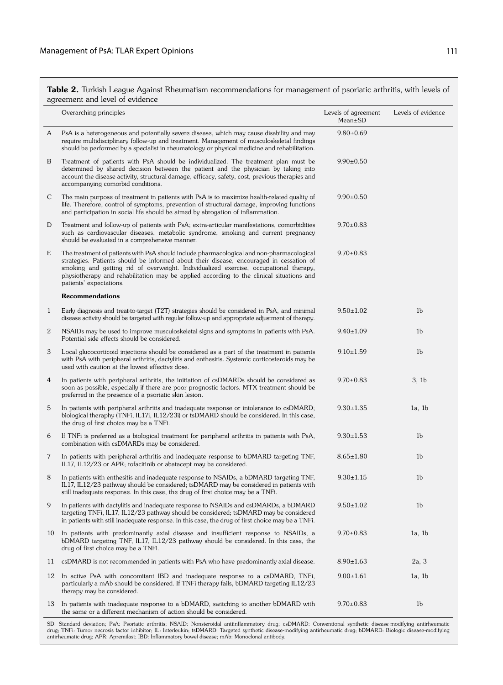Table 2. Turkish League Against Rheumatism recommendations for management of psoriatic arthritis, with levels of agreement and level of evidence

|              | Overarching principles                                                                                                                                                                                                                                                                                                                                                                               | Levels of agreement<br>$Mean \pm SD$ | Levels of evidence |
|--------------|------------------------------------------------------------------------------------------------------------------------------------------------------------------------------------------------------------------------------------------------------------------------------------------------------------------------------------------------------------------------------------------------------|--------------------------------------|--------------------|
| A            | PsA is a heterogeneous and potentially severe disease, which may cause disability and may<br>require multidisciplinary follow-up and treatment. Management of musculoskeletal findings<br>should be performed by a specialist in rheumatology or physical medicine and rehabilitation.                                                                                                               | $9.80 \pm 0.69$                      |                    |
| B            | Treatment of patients with PsA should be individualized. The treatment plan must be<br>determined by shared decision between the patient and the physician by taking into<br>account the disease activity, structural damage, efficacy, safety, cost, previous therapies and<br>accompanying comorbid conditions.                                                                                    | $9.90 \pm 0.50$                      |                    |
| C            | The main purpose of treatment in patients with PsA is to maximize health-related quality of<br>life. Therefore, control of symptoms, prevention of structural damage, improving functions<br>and participation in social life should be aimed by abrogation of inflammation.                                                                                                                         | $9.90 \pm 0.50$                      |                    |
| D            | Treatment and follow-up of patients with PsA; extra-articular manifestations, comorbidities<br>such as cardiovascular diseases, metabolic syndrome, smoking and current pregnancy<br>should be evaluated in a comprehensive manner.                                                                                                                                                                  | $9.70 \pm 0.83$                      |                    |
| E            | The treatment of patients with PsA should include pharmacological and non-pharmacological<br>strategies. Patients should be informed about their disease, encouraged in cessation of<br>smoking and getting rid of overweight. Individualized exercise, occupational therapy,<br>physiotherapy and rehabilitation may be applied according to the clinical situations and<br>patients' expectations. | $9.70 \pm 0.83$                      |                    |
|              | <b>Recommendations</b>                                                                                                                                                                                                                                                                                                                                                                               |                                      |                    |
| $\mathbf{1}$ | Early diagnosis and treat-to-target (T2T) strategies should be considered in PsA, and minimal<br>disease activity should be targeted with regular follow-up and appropriate adjustment of therapy.                                                                                                                                                                                                   | $9.50 \pm 1.02$                      | 1 <sub>b</sub>     |
| 2            | NSAIDs may be used to improve musculoskeletal signs and symptoms in patients with PsA.<br>Potential side effects should be considered.                                                                                                                                                                                                                                                               | $9.40 \pm 1.09$                      | 1 <sub>b</sub>     |
| 3            | Local glucocorticoid injections should be considered as a part of the treatment in patients<br>with PsA with peripheral arthritis, dactylitis and enthesitis. Systemic corticosteroids may be<br>used with caution at the lowest effective dose.                                                                                                                                                     | $9.10 \pm 1.59$                      | 1 <sub>b</sub>     |
| 4            | In patients with peripheral arthritis, the initiation of csDMARDs should be considered as<br>soon as possible, especially if there are poor prognostic factors. MTX treatment should be<br>preferred in the presence of a psoriatic skin lesion.                                                                                                                                                     | $9.70 \pm 0.83$                      | 3, 1 <sub>b</sub>  |
| 5            | In patients with peripheral arthritis and inadequate response or intolerance to csDMARD;<br>biological theraphy (TNFi, IL17i, IL12/23i) or tsDMARD should be considered. In this case,<br>the drug of first choice may be a TNFi.                                                                                                                                                                    | $9.30 \pm 1.35$                      | 1a, 1b             |
| 6            | If TNFi is preferred as a biological treatment for peripheral arthritis in patients with PsA,<br>combination with csDMARDs may be considered.                                                                                                                                                                                                                                                        | $9.30 \pm 1.53$                      | 1 <sub>b</sub>     |
| 7            | In patients with peripheral arthritis and inadequate response to bDMARD targeting TNF,<br>IL17, IL12/23 or APR; tofacitinib or abatacept may be considered.                                                                                                                                                                                                                                          | $8.65 \pm 1.80$                      | 1 <sub>b</sub>     |
| 8            | In patients with enthesitis and inadequate response to NSAIDs, a bDMARD targeting TNF,<br>IL17, IL12/23 pathway should be considered; tsDMARD may be considered in patients with<br>still inadequate response. In this case, the drug of first choice may be a TNFi.                                                                                                                                 | $9.30 \pm 1.15$                      | 1 <sub>b</sub>     |
| 9            | In patients with dactylitis and inadequate response to NSAIDs and csDMARDs, a bDMARD<br>targeting TNFi, IL17, IL12/23 pathway should be considered; tsDMARD may be considered<br>in patients with still inadequate response. In this case, the drug of first choice may be a TNFi.                                                                                                                   | $9.50 \pm 1.02$                      | 1 <sub>b</sub>     |
|              | 10 In patients with predominantly axial disease and insufficient response to NSAIDs, a<br>bDMARD targeting TNF, IL17, IL12/23 pathway should be considered. In this case, the<br>drug of first choice may be a TNFi.                                                                                                                                                                                 | $9.70 \pm 0.83$                      | 1a, 1b             |
| 11           | csDMARD is not recommended in patients with PsA who have predominantly axial disease.                                                                                                                                                                                                                                                                                                                | $8.90 \pm 1.63$                      | 2a, 3              |
| 12           | In active PsA with concomitant IBD and inadequate response to a csDMARD, TNFi,<br>particularly a mAb should be considered. If TNFi therapy fails, bDMARD targeting IL12/23<br>therapy may be considered.                                                                                                                                                                                             | $9.00 \pm 1.61$                      | 1a, 1b             |
|              | 13 In patients with inadequate response to a bDMARD, switching to another bDMARD with<br>the same or a different mechanism of action should be considered.                                                                                                                                                                                                                                           | $9.70 \pm 0.83$                      | 1 <sub>b</sub>     |

SD: Standard deviation; PsA: Psoriatic arthritis; NSAID: Nonsteroidal antiinflammatory drug; csDMARD: Conventional synthetic disease-modifying antirheumatic<br>drug; TNFi: Tumor necrosis factor inhibitor; IL: Interleukin; tsD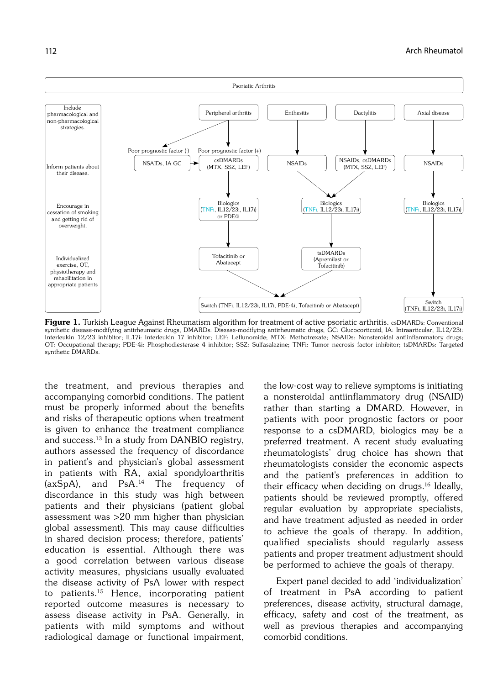

Figure 1. Turkish League Against Rheumatism algorithm for treatment of active psoriatic arthritis. csDMARDs: Conventional synthetic disease-modifying antirheumatic drugs; DMARDs: Disease-modifying antirheumatic drugs; GC: Glucocorticoid; IA: Intraarticular; IL12/23i: Interleukin 12/23 inhibitor; IL17i: Interleukin 17 inhibitor; LEF: Leflunomide; MTX: Methotrexate; NSAIDs: Nonsteroidal antiinflammatory drugs; OT: Occupational therapy; PDE-4i: Phosphodiesterase 4 inhibitor; SSZ: Sulfasalazine; TNFi: Tumor necrosis factor inhibitor; tsDMARDs: Targeted synthetic DMARDs.

the treatment, and previous therapies and accompanying comorbid conditions. The patient must be properly informed about the benefits and risks of therapeutic options when treatment is given to enhance the treatment compliance and success.13 In a study from DANBIO registry, authors assessed the frequency of discordance in patient's and physician's global assessment in patients with RA, axial spondyloarthritis (axSpA), and PsA.14 The frequency of discordance in this study was high between patients and their physicians (patient global assessment was >20 mm higher than physician global assessment). This may cause difficulties in shared decision process; therefore, patients' education is essential. Although there was a good correlation between various disease activity measures, physicians usually evaluated the disease activity of PsA lower with respect to patients.<sup>15</sup> Hence, incorporating patient reported outcome measures is necessary to assess disease activity in PsA. Generally, in patients with mild symptoms and without radiological damage or functional impairment,

the low-cost way to relieve symptoms is initiating a nonsteroidal antiinflammatory drug (NSAID) rather than starting a DMARD. However, in patients with poor prognostic factors or poor response to a csDMARD, biologics may be a preferred treatment. A recent study evaluating rheumatologists' drug choice has shown that rheumatologists consider the economic aspects and the patient's preferences in addition to their efficacy when deciding on drugs.16 Ideally, patients should be reviewed promptly, offered regular evaluation by appropriate specialists, and have treatment adjusted as needed in order to achieve the goals of therapy. In addition, qualified specialists should regularly assess patients and proper treatment adjustment should be performed to achieve the goals of therapy.

Expert panel decided to add 'individualization' of treatment in PsA according to patient preferences, disease activity, structural damage, efficacy, safety and cost of the treatment, as well as previous therapies and accompanying comorbid conditions.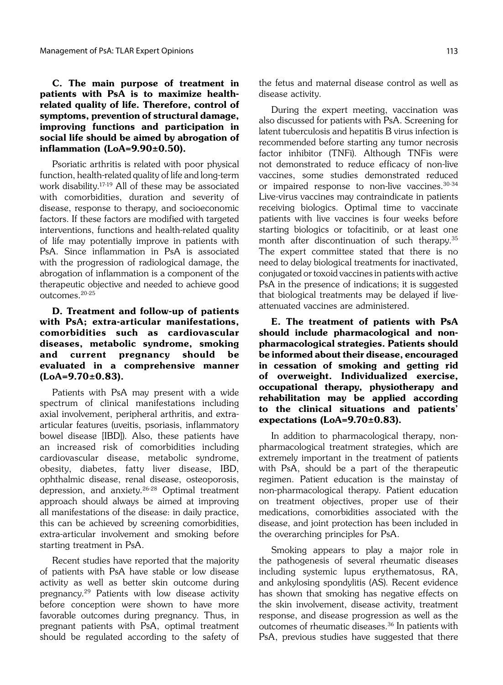# C. The main purpose of treatment in patients with PsA is to maximize healthrelated quality of life. Therefore, control of symptoms, prevention of structural damage, improving functions and participation in social life should be aimed by abrogation of inflammation (LoA=9.90±0.50).

Psoriatic arthritis is related with poor physical function, health-related quality of life and long-term work disability.17-19 All of these may be associated with comorbidities, duration and severity of disease, response to therapy, and socioeconomic factors. If these factors are modified with targeted interventions, functions and health-related quality of life may potentially improve in patients with PsA. Since inflammation in PsA is associated with the progression of radiological damage, the abrogation of inflammation is a component of the therapeutic objective and needed to achieve good outcomes.20-25

D. Treatment and follow-up of patients with PsA; extra-articular manifestations, comorbidities such as cardiovascular diseases, metabolic syndrome, smoking and current pregnancy should be evaluated in a comprehensive manner  $(LoA=9.70\pm0.83).$ 

Patients with PsA may present with a wide spectrum of clinical manifestations including axial involvement, peripheral arthritis, and extraarticular features (uveitis, psoriasis, inflammatory bowel disease [IBD]). Also, these patients have an increased risk of comorbidities including cardiovascular disease, metabolic syndrome, obesity, diabetes, fatty liver disease, IBD, ophthalmic disease, renal disease, osteoporosis, depression, and anxiety.26-28 Optimal treatment approach should always be aimed at improving all manifestations of the disease: in daily practice, this can be achieved by screening comorbidities, extra-articular involvement and smoking before starting treatment in PsA.

Recent studies have reported that the majority of patients with PsA have stable or low disease activity as well as better skin outcome during pregnancy.29 Patients with low disease activity before conception were shown to have more favorable outcomes during pregnancy. Thus, in pregnant patients with PsA, optimal treatment should be regulated according to the safety of the fetus and maternal disease control as well as disease activity.

During the expert meeting, vaccination was also discussed for patients with PsA. Screening for latent tuberculosis and hepatitis B virus infection is recommended before starting any tumor necrosis factor inhibitor (TNFi). Although TNFis were not demonstrated to reduce efficacy of non-live vaccines, some studies demonstrated reduced or impaired response to non-live vaccines.30-34 Live-virus vaccines may contraindicate in patients receiving biologics. Optimal time to vaccinate patients with live vaccines is four weeks before starting biologics or tofacitinib, or at least one month after discontinuation of such therapy.35 The expert committee stated that there is no need to delay biological treatments for inactivated, conjugated or toxoid vaccines in patients with active PsA in the presence of indications; it is suggested that biological treatments may be delayed if liveattenuated vaccines are administered.

E. The treatment of patients with PsA should include pharmacological and nonpharmacological strategies. Patients should be informed about their disease, encouraged in cessation of smoking and getting rid of overweight. Individualized exercise, occupational therapy, physiotherapy and rehabilitation may be applied according to the clinical situations and patients' expectations (LoA=9.70±0.83).

In addition to pharmacological therapy, nonpharmacological treatment strategies, which are extremely important in the treatment of patients with PsA, should be a part of the therapeutic regimen. Patient education is the mainstay of non-pharmacological therapy. Patient education on treatment objectives, proper use of their medications, comorbidities associated with the disease, and joint protection has been included in the overarching principles for PsA.

Smoking appears to play a major role in the pathogenesis of several rheumatic diseases including systemic lupus erythematosus, RA, and ankylosing spondylitis (AS). Recent evidence has shown that smoking has negative effects on the skin involvement, disease activity, treatment response, and disease progression as well as the outcomes of rheumatic diseases.36 In patients with PsA, previous studies have suggested that there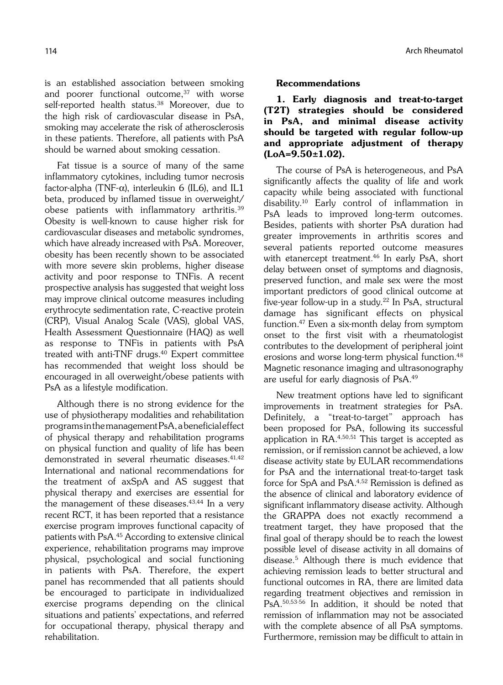is an established association between smoking and poorer functional outcome, $37$  with worse self-reported health status.<sup>38</sup> Moreover, due to the high risk of cardiovascular disease in PsA, smoking may accelerate the risk of atherosclerosis in these patients. Therefore, all patients with PsA should be warned about smoking cessation.

Fat tissue is a source of many of the same inflammatory cytokines, including tumor necrosis factor-alpha (TNF- $\alpha$ ), interleukin 6 (IL6), and IL1 beta, produced by inflamed tissue in overweight/ obese patients with inflammatory arthritis.39 Obesity is well-known to cause higher risk for cardiovascular diseases and metabolic syndromes, which have already increased with PsA. Moreover, obesity has been recently shown to be associated with more severe skin problems, higher disease activity and poor response to TNFis. A recent prospective analysis has suggested that weight loss may improve clinical outcome measures including erythrocyte sedimentation rate, C-reactive protein (CRP), Visual Analog Scale (VAS), global VAS, Health Assessment Questionnaire (HAQ) as well as response to TNFis in patients with PsA treated with anti-TNF drugs.<sup>40</sup> Expert committee has recommended that weight loss should be encouraged in all overweight/obese patients with PsA as a lifestyle modification.

Although there is no strong evidence for the use of physiotherapy modalities and rehabilitation programs in the management PsA, a beneficial effect of physical therapy and rehabilitation programs on physical function and quality of life has been demonstrated in several rheumatic diseases.<sup>41,42</sup> International and national recommendations for the treatment of axSpA and AS suggest that physical therapy and exercises are essential for the management of these diseases. $43,44$  In a very recent RCT, it has been reported that a resistance exercise program improves functional capacity of patients with PsA.45 According to extensive clinical experience, rehabilitation programs may improve physical, psychological and social functioning in patients with PsA. Therefore, the expert panel has recommended that all patients should be encouraged to participate in individualized exercise programs depending on the clinical situations and patients' expectations, and referred for occupational therapy, physical therapy and rehabilitation.

#### nde and the state of the state of the state of the state of the state of the state of the state of the state of the state of the state of the state of the state of the state of the state of the state of the state of the st

#### Recommendations

1. Early diagnosis and treat-to-target (T2T) strategies should be considered in PsA, and minimal disease activity should be targeted with regular follow-up and appropriate adjustment of therapy (LoA=9.50±1.02).

The course of PsA is heterogeneous, and PsA significantly affects the quality of life and work capacity while being associated with functional disability.10 Early control of inflammation in PsA leads to improved long-term outcomes. Besides, patients with shorter PsA duration had greater improvements in arthritis scores and several patients reported outcome measures with etanercept treatment.<sup>46</sup> In early PsA, short delay between onset of symptoms and diagnosis, preserved function, and male sex were the most important predictors of good clinical outcome at five-year follow-up in a study.22 In PsA, structural damage has significant effects on physical function.47 Even a six-month delay from symptom onset to the first visit with a rheumatologist contributes to the development of peripheral joint erosions and worse long-term physical function.<sup>48</sup> Magnetic resonance imaging and ultrasonography are useful for early diagnosis of PsA.49

New treatment options have led to significant improvements in treatment strategies for PsA. Definitely, a "treat-to-target" approach has been proposed for PsA, following its successful application in RA.4,50,51 This target is accepted as remission, or if remission cannot be achieved, a low disease activity state by EULAR recommendations for PsA and the international treat-to-target task force for SpA and PsA.4,52 Remission is defined as the absence of clinical and laboratory evidence of significant inflammatory disease activity. Although the GRAPPA does not exactly recommend a treatment target, they have proposed that the final goal of therapy should be to reach the lowest possible level of disease activity in all domains of disease.5 Although there is much evidence that achieving remission leads to better structural and functional outcomes in RA, there are limited data regarding treatment objectives and remission in PsA.50,53-56 In addition, it should be noted that remission of inflammation may not be associated with the complete absence of all PsA symptoms. Furthermore, remission may be difficult to attain in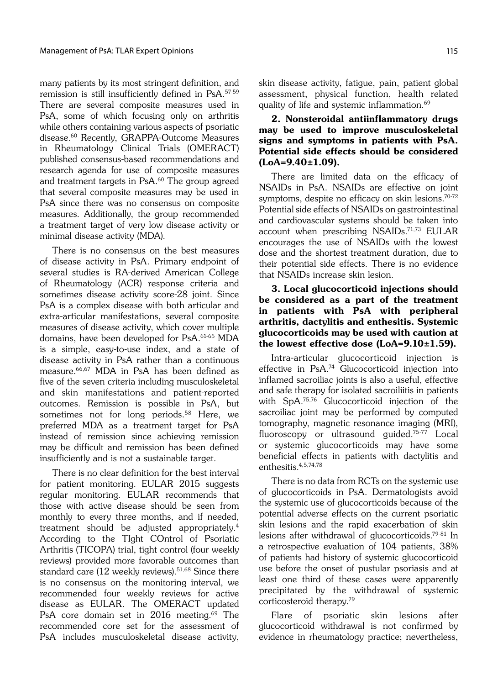many patients by its most stringent definition, and remission is still insufficiently defined in PsA.57-59 There are several composite measures used in PsA, some of which focusing only on arthritis while others containing various aspects of psoriatic disease.60 Recently, GRAPPA-Outcome Measures in Rheumatology Clinical Trials (OMERACT) published consensus-based recommendations and research agenda for use of composite measures and treatment targets in PsA.<sup>60</sup> The group agreed that several composite measures may be used in PsA since there was no consensus on composite measures. Additionally, the group recommended a treatment target of very low disease activity or minimal disease activity (MDA).

There is no consensus on the best measures of disease activity in PsA. Primary endpoint of several studies is RA-derived American College of Rheumatology (ACR) response criteria and sometimes disease activity score-28 joint. Since PsA is a complex disease with both articular and extra-articular manifestations, several composite measures of disease activity, which cover multiple domains, have been developed for PsA.61-65 MDA is a simple, easy-to-use index, and a state of disease activity in PsA rather than a continuous measure.66,67 MDA in PsA has been defined as five of the seven criteria including musculoskeletal and skin manifestations and patient-reported outcomes. Remission is possible in PsA, but sometimes not for long periods.<sup>58</sup> Here, we preferred MDA as a treatment target for PsA instead of remission since achieving remission may be difficult and remission has been defined insufficiently and is not a sustainable target.

There is no clear definition for the best interval for patient monitoring. EULAR 2015 suggests regular monitoring. EULAR recommends that those with active disease should be seen from monthly to every three months, and if needed, treatment should be adjusted appropriately.4 According to the TIght COntrol of Psoriatic Arthritis (TICOPA) trial, tight control (four weekly reviews) provided more favorable outcomes than standard care (12 weekly reviews).<sup>51,68</sup> Since there is no consensus on the monitoring interval, we recommended four weekly reviews for active disease as EULAR. The OMERACT updated PsA core domain set in 2016 meeting.<sup>69</sup> The recommended core set for the assessment of PsA includes musculoskeletal disease activity, skin disease activity, fatigue, pain, patient global assessment, physical function, health related quality of life and systemic inflammation.69

#### 2. Nonsteroidal antiinflammatory drugs may be used to improve musculoskeletal signs and symptoms in patients with PsA. Potential side effects should be considered (LoA=9.40±1.09).

There are limited data on the efficacy of NSAIDs in PsA. NSAIDs are effective on joint symptoms, despite no efficacy on skin lesions.70-72 Potential side effects of NSAIDs on gastrointestinal and cardiovascular systems should be taken into account when prescribing NSAIDs.71,73 EULAR encourages the use of NSAIDs with the lowest dose and the shortest treatment duration, due to their potential side effects. There is no evidence that NSAIDs increase skin lesion.

## 3. Local glucocorticoid injections should be considered as a part of the treatment in patients with PsA with peripheral arthritis, dactylitis and enthesitis. Systemic glucocorticoids may be used with caution at the lowest effective dose (LoA=9.10±1.59).

Intra-articular glucocorticoid injection is effective in PsA.74 Glucocorticoid injection into inflamed sacroiliac joints is also a useful, effective and safe therapy for isolated sacroiliitis in patients with SpA.75,76 Glucocorticoid injection of the sacroiliac joint may be performed by computed tomography, magnetic resonance imaging (MRI), fluoroscopy or ultrasound guided.75-77 Local or systemic glucocorticoids may have some beneficial effects in patients with dactylitis and enthesitis.4,5,74,78

There is no data from RCTs on the systemic use of glucocorticoids in PsA. Dermatologists avoid the systemic use of glucocorticoids because of the potential adverse effects on the current psoriatic skin lesions and the rapid exacerbation of skin lesions after withdrawal of glucocorticoids.79-81 In a retrospective evaluation of 104 patients, 38% of patients had history of systemic glucocorticoid use before the onset of pustular psoriasis and at least one third of these cases were apparently precipitated by the withdrawal of systemic corticosteroid therapy.79

Flare of psoriatic skin lesions after glucocorticoid withdrawal is not confirmed by evidence in rheumatology practice; nevertheless,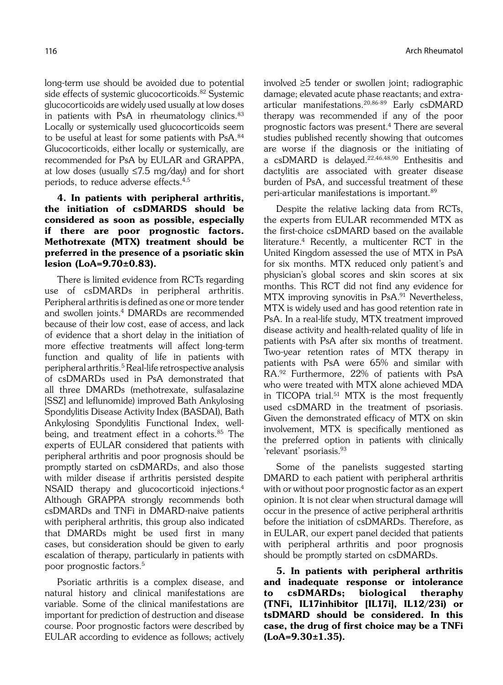long-term use should be avoided due to potential side effects of systemic glucocorticoids.<sup>82</sup> Systemic glucocorticoids are widely used usually at low doses in patients with PsA in rheumatology clinics. $83$ Locally or systemically used glucocorticoids seem to be useful at least for some patients with PsA.<sup>84</sup> Glucocorticoids, either locally or systemically, are recommended for PsA by EULAR and GRAPPA, at low doses (usually ≤7.5 mg/day) and for short periods, to reduce adverse effects.4,5

## 4. In patients with peripheral arthritis, the initiation of csDMARDS should be considered as soon as possible, especially if there are poor prognostic factors. Methotrexate (MTX) treatment should be preferred in the presence of a psoriatic skin lesion (LoA=9.70±0.83).

There is limited evidence from RCTs regarding use of csDMARDs in peripheral arthritis. Peripheral arthritis is defined as one or more tender and swollen joints.4 DMARDs are recommended because of their low cost, ease of access, and lack of evidence that a short delay in the initiation of more effective treatments will affect long-term function and quality of life in patients with peripheral arthritis.5 Real-life retrospective analysis of csDMARDs used in PsA demonstrated that all three DMARDs (methotrexate, sulfasalazine [SSZ] and leflunomide) improved Bath Ankylosing Spondylitis Disease Activity Index (BASDAI), Bath Ankylosing Spondylitis Functional Index, wellbeing, and treatment effect in a cohorts.<sup>85</sup> The experts of EULAR considered that patients with peripheral arthritis and poor prognosis should be promptly started on csDMARDs, and also those with milder disease if arthritis persisted despite NSAID therapy and glucocorticoid injections.4 Although GRAPPA strongly recommends both csDMARDs and TNFi in DMARD-naive patients with peripheral arthritis, this group also indicated that DMARDs might be used first in many cases, but consideration should be given to early escalation of therapy, particularly in patients with poor prognostic factors.5

Psoriatic arthritis is a complex disease, and natural history and clinical manifestations are variable. Some of the clinical manifestations are important for prediction of destruction and disease course. Poor prognostic factors were described by EULAR according to evidence as follows; actively involved ≥5 tender or swollen joint; radiographic damage; elevated acute phase reactants; and extraarticular manifestations.20,86-89 Early csDMARD therapy was recommended if any of the poor prognostic factors was present.4 There are several studies published recently showing that outcomes are worse if the diagnosis or the initiating of a csDMARD is delayed.22,46,48,90 Enthesitis and dactylitis are associated with greater disease burden of PsA, and successful treatment of these peri-articular manifestations is important.89

Despite the relative lacking data from RCTs, the experts from EULAR recommended MTX as the first-choice csDMARD based on the available literature.4 Recently, a multicenter RCT in the United Kingdom assessed the use of MTX in PsA for six months. MTX reduced only patient's and physician's global scores and skin scores at six months. This RCT did not find any evidence for MTX improving synovitis in PsA.<sup>91</sup> Nevertheless, MTX is widely used and has good retention rate in PsA. In a real-life study, MTX treatment improved disease activity and health-related quality of life in patients with PsA after six months of treatment. Two-year retention rates of MTX therapy in patients with PsA were 65% and similar with RA.92 Furthermore, 22% of patients with PsA who were treated with MTX alone achieved MDA in TICOPA trial.<sup>51</sup> MTX is the most frequently used csDMARD in the treatment of psoriasis. Given the demonstrated efficacy of MTX on skin involvement, MTX is specifically mentioned as the preferred option in patients with clinically 'relevant' psoriasis.<sup>93</sup>

Some of the panelists suggested starting DMARD to each patient with peripheral arthritis with or without poor prognostic factor as an expert opinion. It is not clear when structural damage will occur in the presence of active peripheral arthritis before the initiation of csDMARDs. Therefore, as in EULAR, our expert panel decided that patients with peripheral arthritis and poor prognosis should be promptly started on csDMARDs.

5. In patients with peripheral arthritis and inadequate response or intolerance to csDMARDs; biological theraphy (TNFi, IL17inhibitor [IL17i], IL12/23i) or tsDMARD should be considered. In this case, the drug of first choice may be a TNFi (LoA=9.30±1.35).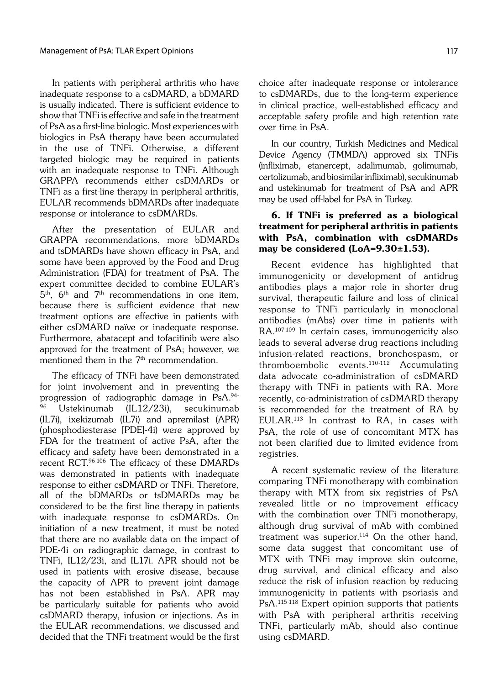In patients with peripheral arthritis who have inadequate response to a csDMARD, a bDMARD is usually indicated. There is sufficient evidence to show that TNFi is effective and safe in the treatment of PsA as a first-line biologic. Most experiences with biologics in PsA therapy have been accumulated in the use of TNFi. Otherwise, a different targeted biologic may be required in patients with an inadequate response to TNFi. Although GRAPPA recommends either csDMARDs or TNFi as a first-line therapy in peripheral arthritis, EULAR recommends bDMARDs after inadequate response or intolerance to csDMARDs.

After the presentation of EULAR and GRAPPA recommendations, more bDMARDs and tsDMARDs have shown efficacy in PsA, and some have been approved by the Food and Drug Administration (FDA) for treatment of PsA. The expert committee decided to combine EULAR's  $5<sup>th</sup>$ ,  $6<sup>th</sup>$  and  $7<sup>th</sup>$  recommendations in one item, because there is sufficient evidence that new treatment options are effective in patients with either csDMARD naïve or inadequate response. Furthermore, abatacept and tofacitinib were also approved for the treatment of PsA; however, we mentioned them in the  $7<sup>th</sup>$  recommendation.

The efficacy of TNFi have been demonstrated for joint involvement and in preventing the progression of radiographic damage in PsA.94- Ustekinumab (IL12/23i), secukinumab (IL7i), ixekizumab (IL7i) and apremilast (APR) (phosphodiesterase [PDE]-4i) were approved by FDA for the treatment of active PsA, after the efficacy and safety have been demonstrated in a recent RCT.96-106 The efficacy of these DMARDs was demonstrated in patients with inadequate response to either csDMARD or TNFi. Therefore, all of the bDMARDs or tsDMARDs may be considered to be the first line therapy in patients with inadequate response to csDMARDs. On initiation of a new treatment, it must be noted that there are no available data on the impact of PDE-4i on radiographic damage, in contrast to TNFi, IL12/23i, and IL17i. APR should not be used in patients with erosive disease, because the capacity of APR to prevent joint damage has not been established in PsA. APR may be particularly suitable for patients who avoid csDMARD therapy, infusion or injections. As in the EULAR recommendations, we discussed and decided that the TNFi treatment would be the first choice after inadequate response or intolerance to csDMARDs, due to the long-term experience in clinical practice, well-established efficacy and acceptable safety profile and high retention rate over time in PsA.

In our country, Turkish Medicines and Medical Device Agency (TMMDA) approved six TNFis (infliximab, etanercept, adalimumab, golimumab, certolizumab, and biosimilar infliximab), secukinumab and ustekinumab for treatment of PsA and APR may be used off-label for PsA in Turkey.

## 6. If TNFi is preferred as a biological treatment for peripheral arthritis in patients with PsA, combination with csDMARDs may be considered (LoA=9.30±1.53).

Recent evidence has highlighted that immunogenicity or development of antidrug antibodies plays a major role in shorter drug survival, therapeutic failure and loss of clinical response to TNFi particularly in monoclonal antibodies (mAbs) over time in patients with RA.107-109 In certain cases, immunogenicity also leads to several adverse drug reactions including infusion-related reactions, bronchospasm, or thromboembolic events.110-112 Accumulating data advocate co-administration of csDMARD therapy with TNFi in patients with RA. More recently, co-administration of csDMARD therapy is recommended for the treatment of RA by EULAR.113 In contrast to RA, in cases with PsA, the role of use of concomitant MTX has not been clarified due to limited evidence from registries.

A recent systematic review of the literature comparing TNFi monotherapy with combination therapy with MTX from six registries of PsA revealed little or no improvement efficacy with the combination over TNFi monotherapy, although drug survival of mAb with combined treatment was superior.<sup>114</sup> On the other hand, some data suggest that concomitant use of MTX with TNFi may improve skin outcome, drug survival, and clinical efficacy and also reduce the risk of infusion reaction by reducing immunogenicity in patients with psoriasis and PsA.115-118 Expert opinion supports that patients with PsA with peripheral arthritis receiving TNFi, particularly mAb, should also continue using csDMARD.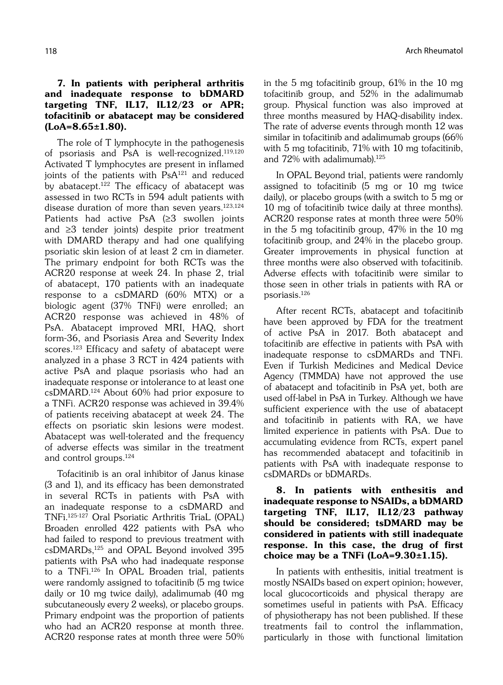## 7. In patients with peripheral arthritis and inadequate response to bDMARD targeting TNF, IL17, IL12/23 or APR; tofacitinib or abatacept may be considered  $(LoA=8.65\pm1.80).$

The role of T lymphocyte in the pathogenesis of psoriasis and PsA is well-recognized.119,120 Activated T lymphocytes are present in inflamed joints of the patients with PsA<sup>121</sup> and reduced by abatacept.122 The efficacy of abatacept was assessed in two RCTs in 594 adult patients with disease duration of more than seven years.123,124 Patients had active PsA (≥3 swollen joints and ≥3 tender joints) despite prior treatment with DMARD therapy and had one qualifying psoriatic skin lesion of at least 2 cm in diameter. The primary endpoint for both RCTs was the ACR20 response at week 24. In phase 2, trial of abatacept, 170 patients with an inadequate response to a csDMARD (60% MTX) or a biologic agent (37% TNFi) were enrolled; an ACR20 response was achieved in 48% of PsA. Abatacept improved MRI, HAQ, short form-36, and Psoriasis Area and Severity Index scores.123 Efficacy and safety of abatacept were analyzed in a phase 3 RCT in 424 patients with active PsA and plaque psoriasis who had an inadequate response or intolerance to at least one csDMARD.124 About 60% had prior exposure to a TNFi. ACR20 response was achieved in 39.4% of patients receiving abatacept at week 24. The effects on psoriatic skin lesions were modest. Abatacept was well-tolerated and the frequency of adverse effects was similar in the treatment and control groups.124

Tofacitinib is an oral inhibitor of Janus kinase (3 and 1), and its efficacy has been demonstrated in several RCTs in patients with PsA with an inadequate response to a csDMARD and TNFi.125-127 Oral Psoriatic Arthritis TriaL (OPAL) Broaden enrolled 422 patients with PsA who had failed to respond to previous treatment with csDMARDs,125 and OPAL Beyond involved 395 patients with PsA who had inadequate response to a TNFi.126 In OPAL Broaden trial, patients were randomly assigned to tofacitinib (5 mg twice daily or 10 mg twice daily), adalimumab (40 mg subcutaneously every 2 weeks), or placebo groups. Primary endpoint was the proportion of patients who had an ACR20 response at month three. ACR20 response rates at month three were 50% in the 5 mg tofacitinib group, 61% in the 10 mg tofacitinib group, and 52% in the adalimumab group. Physical function was also improved at three months measured by HAQ-disability index. The rate of adverse events through month 12 was similar in tofacitinib and adalimumab groups (66% with 5 mg tofacitinib, 71% with 10 mg tofacitinib, and 72% with adalimumab).<sup>125</sup>

In OPAL Beyond trial, patients were randomly assigned to tofacitinib (5 mg or 10 mg twice daily), or placebo groups (with a switch to 5 mg or 10 mg of tofacitinib twice daily at three months). ACR20 response rates at month three were 50% in the 5 mg tofacitinib group, 47% in the 10 mg tofacitinib group, and 24% in the placebo group. Greater improvements in physical function at three months were also observed with tofacitinib. Adverse effects with tofacitinib were similar to those seen in other trials in patients with RA or psoriasis.126

After recent RCTs, abatacept and tofacitinib have been approved by FDA for the treatment of active PsA in 2017. Both abatacept and tofacitinib are effective in patients with PsA with inadequate response to csDMARDs and TNFi. Even if Turkish Medicines and Medical Device Agency (TMMDA) have not approved the use of abatacept and tofacitinib in PsA yet, both are used off-label in PsA in Turkey. Although we have sufficient experience with the use of abatacept and tofacitinib in patients with RA, we have limited experience in patients with PsA. Due to accumulating evidence from RCTs, expert panel has recommended abatacept and tofacitinib in patients with PsA with inadequate response to csDMARDs or bDMARDs.

# 8. In patients with enthesitis and inadequate response to NSAIDs, a bDMARD targeting TNF, IL17, IL12/23 pathway should be considered; tsDMARD may be considered in patients with still inadequate response. In this case, the drug of first choice may be a TNFi (LoA= $9.30\pm1.15$ ).

In patients with enthesitis, initial treatment is mostly NSAIDs based on expert opinion; however, local glucocorticoids and physical therapy are sometimes useful in patients with PsA. Efficacy of physiotherapy has not been published. If these treatments fail to control the inflammation, particularly in those with functional limitation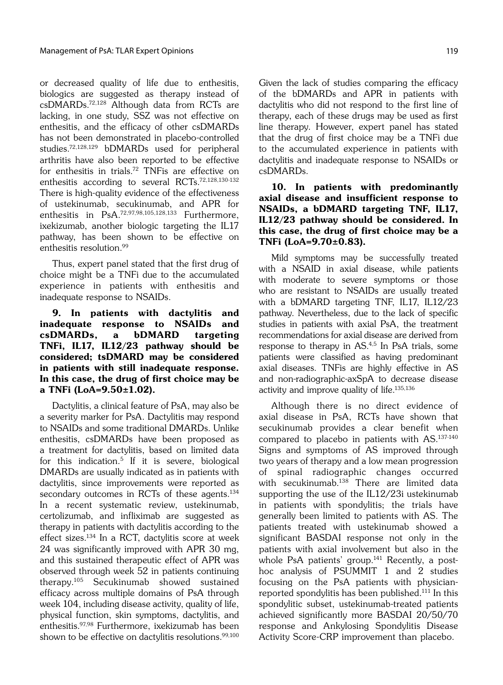or decreased quality of life due to enthesitis, biologics are suggested as therapy instead of csDMARDs.72,128 Although data from RCTs are lacking, in one study, SSZ was not effective on enthesitis, and the efficacy of other csDMARDs has not been demonstrated in placebo-controlled studies.72,128,129 bDMARDs used for peripheral arthritis have also been reported to be effective for enthesitis in trials.72 TNFis are effective on enthesitis according to several RCTs.72,128,130-132 There is high-quality evidence of the effectiveness of ustekinumab, secukinumab, and APR for enthesitis in PsA.72,97,98,105,128,133 Furthermore, ixekizumab, another biologic targeting the IL17 pathway, has been shown to be effective on enthesitis resolution.99

Thus, expert panel stated that the first drug of choice might be a TNFi due to the accumulated experience in patients with enthesitis and inadequate response to NSAIDs.

9. In patients with dactylitis and inadequate response to NSAIDs and csDMARDs, a bDMARD targeting TNFi, IL17, IL12/23 pathway should be considered; tsDMARD may be considered in patients with still inadequate response. In this case, the drug of first choice may be a TNFi (LoA=9.50±1.02).

Dactylitis, a clinical feature of PsA, may also be a severity marker for PsA. Dactylitis may respond to NSAIDs and some traditional DMARDs. Unlike enthesitis, csDMARDs have been proposed as a treatment for dactylitis, based on limited data for this indication. $5$  If it is severe, biological DMARDs are usually indicated as in patients with dactylitis, since improvements were reported as secondary outcomes in RCTs of these agents.<sup>134</sup> In a recent systematic review, ustekinumab, certolizumab, and infliximab are suggested as therapy in patients with dactylitis according to the effect sizes.134 In a RCT, dactylitis score at week 24 was significantly improved with APR 30 mg, and this sustained therapeutic effect of APR was observed through week 52 in patients continuing therapy.105 Secukinumab showed sustained efficacy across multiple domains of PsA through week 104, including disease activity, quality of life, physical function, skin symptoms, dactylitis, and enthesitis.97,98 Furthermore, ixekizumab has been shown to be effective on dactylitis resolutions.<sup>99,100</sup> Given the lack of studies comparing the efficacy of the bDMARDs and APR in patients with dactylitis who did not respond to the first line of therapy, each of these drugs may be used as first line therapy. However, expert panel has stated that the drug of first choice may be a TNFi due to the accumulated experience in patients with dactylitis and inadequate response to NSAIDs or csDMARDs.

# 10. In patients with predominantly axial disease and insufficient response to NSAIDs, a bDMARD targeting TNF, IL17, IL12/23 pathway should be considered. In this case, the drug of first choice may be a TNFi (LoA=9.70±0.83).

Mild symptoms may be successfully treated with a NSAID in axial disease, while patients with moderate to severe symptoms or those who are resistant to NSAIDs are usually treated with a bDMARD targeting TNF, IL17, IL12/23 pathway. Nevertheless, due to the lack of specific studies in patients with axial PsA, the treatment recommendations for axial disease are derived from response to therapy in AS.4,5 In PsA trials, some patients were classified as having predominant axial diseases. TNFis are highly effective in AS and non-radiographic-axSpA to decrease disease activity and improve quality of life.135,136

Although there is no direct evidence of axial disease in PsA, RCTs have shown that secukinumab provides a clear benefit when compared to placebo in patients with AS.137-140 Signs and symptoms of AS improved through two years of therapy and a low mean progression of spinal radiographic changes occurred with secukinumab.138 There are limited data supporting the use of the IL12/23i ustekinumab in patients with spondylitis; the trials have generally been limited to patients with AS. The patients treated with ustekinumab showed a significant BASDAI response not only in the patients with axial involvement but also in the whole PsA patients' group.<sup>141</sup> Recently, a posthoc analysis of PSUMMIT 1 and 2 studies focusing on the PsA patients with physicianreported spondylitis has been published.111 In this spondylitic subset, ustekinumab-treated patients achieved significantly more BASDAI 20/50/70 response and Ankylosing Spondylitis Disease Activity Score-CRP improvement than placebo.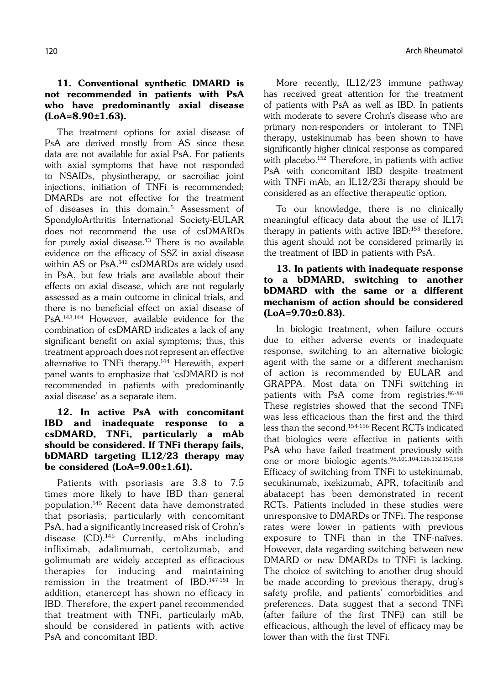## 11. Conventional synthetic DMARD is not recommended in patients with PsA who have predominantly axial disease  $(LoA=8.90\pm1.63)$ .

The treatment options for axial disease of PsA are derived mostly from AS since these data are not available for axial PsA. For patients with axial symptoms that have not responded to NSAIDs, physiotherapy, or sacroiliac joint injections, initiation of TNFi is recommended; DMARDs are not effective for the treatment of diseases in this domain.<sup>5</sup> Assessment of SpondyloArthritis International Society-EULAR does not recommend the use of csDMARDs for purely axial disease. $43$  There is no available evidence on the efficacy of SSZ in axial disease within AS or PsA.142 csDMARDs are widely used in PsA, but few trials are available about their effects on axial disease, which are not regularly assessed as a main outcome in clinical trials, and there is no beneficial effect on axial disease of PsA.143,144 However, available evidence for the combination of csDMARD indicates a lack of any significant benefit on axial symptoms; thus, this treatment approach does not represent an effective alternative to TNFi therapy.<sup>144</sup> Herewith, expert panel wants to emphasize that 'csDMARD is not recommended in patients with predominantly axial disease' as a separate item.

# 12. In active PsA with concomitant IBD and inadequate response to a csDMARD, TNFi, particularly a mAb should be considered. If TNFi therapy fails, bDMARD targeting IL12/23 therapy may be considered (LoA=9.00±1.61).

Patients with psoriasis are 3.8 to 7.5 times more likely to have IBD than general population.145 Recent data have demonstrated that psoriasis, particularly with concomitant PsA, had a significantly increased risk of Crohn's disease (CD).<sup>146</sup> Currently, mAbs including infliximab, adalimumab, certolizumab, and golimumab are widely accepted as efficacious therapies for inducing and maintaining remission in the treatment of IBD.147-151 In addition, etanercept has shown no efficacy in IBD. Therefore, the expert panel recommended that treatment with TNFi, particularly mAb, should be considered in patients with active PsA and concomitant IBD.

More recently, IL12/23 immune pathway has received great attention for the treatment of patients with PsA as well as IBD. In patients with moderate to severe Crohn's disease who are primary non-responders or intolerant to TNFi therapy, ustekinumab has been shown to have significantly higher clinical response as compared with placebo.<sup>152</sup> Therefore, in patients with active PsA with concomitant IBD despite treatment with TNFi mAb, an IL12/23i therapy should be considered as an effective therapeutic option.

To our knowledge, there is no clinically meaningful efficacy data about the use of IL17i therapy in patients with active  $IBD;^{153}$  therefore, this agent should not be considered primarily in the treatment of IBD in patients with PsA.

# 13. In patients with inadequate response to a bDMARD, switching to another bDMARD with the same or a different mechanism of action should be considered (LoA=9.70±0.83).

In biologic treatment, when failure occurs due to either adverse events or inadequate response, switching to an alternative biologic agent with the same or a different mechanism of action is recommended by EULAR and GRAPPA. Most data on TNFi switching in patients with PsA come from registries.86-88 These registries showed that the second TNFi was less efficacious than the first and the third less than the second.154-156 Recent RCTs indicated that biologics were effective in patients with PsA who have failed treatment previously with one or more biologic agents.<sup>98,101,104,126,132,157,158</sup> Efficacy of switching from TNFi to ustekinumab, secukinumab, ixekizumab, APR, tofacitinib and abatacept has been demonstrated in recent RCTs. Patients included in these studies were unresponsive to DMARDs or TNFi. The response rates were lower in patients with previous exposure to TNFi than in the TNF-naïves. However, data regarding switching between new DMARD or new DMARDs to TNFi is lacking. The choice of switching to another drug should be made according to previous therapy, drug's safety profile, and patients' comorbidities and preferences. Data suggest that a second TNFi (after failure of the first TNFi) can still be efficacious, although the level of efficacy may be lower than with the first TNFi.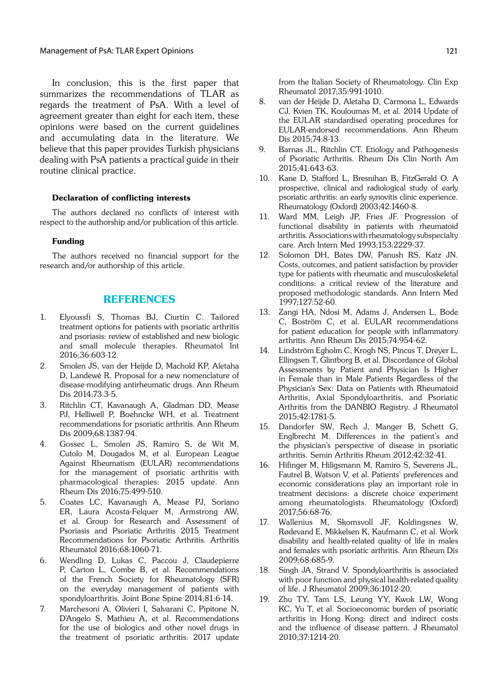In conclusion, this is the first paper that summarizes the recommendations of TLAR as regards the treatment of PsA. With a level of agreement greater than eight for each item, these opinions were based on the current guidelines and accumulating data in the literature. We believe that this paper provides Turkish physicians dealing with PsA patients a practical guide in their routine clinical practice.

#### Declaration of conflicting interests

The authors declared no conflicts of interest with respect to the authorship and/or publication of this article.

#### Funding

The authors received no financial support for the research and/or authorship of this article.

#### REFERENCES

- 1. Elyoussfi S, Thomas BJ, Ciurtin C. Tailored treatment options for patients with psoriatic arthritis and psoriasis: review of established and new biologic and small molecule therapies. Rheumatol Int 2016;36:603-12.
- 2. Smolen JS, van der Heijde D, Machold KP, Aletaha D, Landewé R. Proposal for a new nomenclature of disease-modifying antirheumatic drugs. Ann Rheum Dis 2014;73:3-5.
- 3. Ritchlin CT, Kavanaugh A, Gladman DD, Mease PJ, Helliwell P, Boehncke WH, et al. Treatment recommendations for psoriatic arthritis. Ann Rheum Dis 2009;68:1387-94.
- 4. Gossec L, Smolen JS, Ramiro S, de Wit M, Cutolo M, Dougados M, et al. European League Against Rheumatism (EULAR) recommendations for the management of psoriatic arthritis with pharmacological therapies: 2015 update. Ann Rheum Dis 2016;75:499-510.
- 5. Coates LC, Kavanaugh A, Mease PJ, Soriano ER, Laura Acosta-Felquer M, Armstrong AW, et al. Group for Research and Assessment of Psoriasis and Psoriatic Arthritis 2015 Treatment Recommendations for Psoriatic Arthritis. Arthritis Rheumatol 2016;68:1060-71.
- 6. Wendling D, Lukas C, Paccou J, Claudepierre P, Carton L, Combe B, et al. Recommendations of the French Society for Rheumatology (SFR) on the everyday management of patients with spondyloarthritis. Joint Bone Spine 2014;81:6-14.
- 7. Marchesoni A, Olivieri I, Salvarani C, Pipitone N, D'Angelo S, Mathieu A, et al. Recommendations for the use of biologics and other novel drugs in the treatment of psoriatic arthritis: 2017 update

from the Italian Society of Rheumatology. Clin Exp Rheumatol 2017;35:991-1010.

- 8. van der Heijde D, Aletaha D, Carmona L, Edwards CJ, Kvien TK, Kouloumas M, et al. 2014 Update of the EULAR standardised operating procedures for EULAR-endorsed recommendations. Ann Rheum Dis 2015;74:8-13.
- 9. Barnas JL, Ritchlin CT. Etiology and Pathogenesis of Psoriatic Arthritis. Rheum Dis Clin North Am 2015;41:643-63.
- 10. Kane D, Stafford L, Bresnihan B, FitzGerald O. A prospective, clinical and radiological study of early psoriatic arthritis: an early synovitis clinic experience. Rheumatology (Oxford) 2003;42:1460-8.
- 11. Ward MM, Leigh JP, Fries JF. Progression of functional disability in patients with rheumatoid arthritis. Associations with rheumatology subspecialty care. Arch Intern Med 1993;153:2229-37.
- 12. Solomon DH, Bates DW, Panush RS, Katz JN. Costs, outcomes, and patient satisfaction by provider type for patients with rheumatic and musculoskeletal conditions: a critical review of the literature and proposed methodologic standards. Ann Intern Med 1997;127:52-60.
- 13. Zangi HA, Ndosi M, Adams J, Andersen L, Bode C, Boström C, et al. EULAR recommendations for patient education for people with inflammatory arthritis. Ann Rheum Dis 2015;74:954-62.
- 14. Lindström Egholm C, Krogh NS, Pincus T, Dreyer L, Ellingsen T, Glintborg B, et al. Discordance of Global Assessments by Patient and Physician Is Higher in Female than in Male Patients Regardless of the Physician's Sex: Data on Patients with Rheumatoid Arthritis, Axial Spondyloarthritis, and Psoriatic Arthritis from the DANBIO Registry. J Rheumatol 2015;42:1781-5.
- 15. Dandorfer SW, Rech J, Manger B, Schett G, Englbrecht M. Differences in the patient's and the physician's perspective of disease in psoriatic arthritis. Semin Arthritis Rheum 2012;42:32-41.
- 16. Hifinger M, Hiligsmann M, Ramiro S, Severens JL, Fautrel B, Watson V, et al. Patients' preferences and economic considerations play an important role in treatment decisions: a discrete choice experiment among rheumatologists. Rheumatology (Oxford) 2017;56:68-76.
- 17. Wallenius M, Skomsvoll JF, Koldingsnes W, Rødevand E, Mikkelsen K, Kaufmann C, et al. Work disability and health-related quality of life in males and females with psoriatic arthritis. Ann Rheum Dis 2009;68:685-9.
- 18. Singh JA, Strand V. Spondyloarthritis is associated with poor function and physical health-related quality of life. J Rheumatol 2009;36:1012-20.
- 19. Zhu TY, Tam LS, Leung YY, Kwok LW, Wong KC, Yu T, et al. Socioeconomic burden of psoriatic arthritis in Hong Kong: direct and indirect costs and the influence of disease pattern. J Rheumatol 2010;37:1214-20.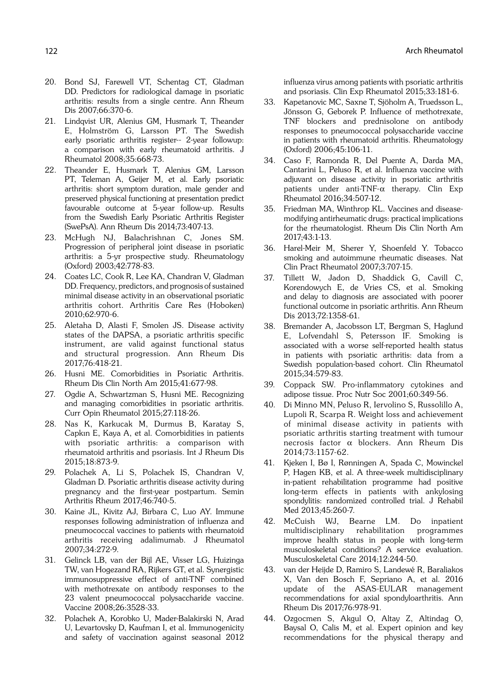- 20. Bond SJ, Farewell VT, Schentag CT, Gladman DD. Predictors for radiological damage in psoriatic arthritis: results from a single centre. Ann Rheum Dis 2007;66:370-6.
- 21. Lindqvist UR, Alenius GM, Husmark T, Theander E, Holmström G, Larsson PT. The Swedish early psoriatic arthritis register-- 2-year followup: a comparison with early rheumatoid arthritis. J Rheumatol 2008;35:668-73.
- 22. Theander E, Husmark T, Alenius GM, Larsson PT, Teleman A, Geijer M, et al. Early psoriatic arthritis: short symptom duration, male gender and preserved physical functioning at presentation predict favourable outcome at 5-year follow-up. Results from the Swedish Early Psoriatic Arthritis Register (SwePsA). Ann Rheum Dis 2014;73:407-13.
- 23. McHugh NJ, Balachrishnan C, Jones SM. Progression of peripheral joint disease in psoriatic arthritis: a 5-yr prospective study. Rheumatology (Oxford) 2003;42:778-83.
- 24. Coates LC, Cook R, Lee KA, Chandran V, Gladman DD. Frequency, predictors, and prognosis of sustained minimal disease activity in an observational psoriatic arthritis cohort. Arthritis Care Res (Hoboken) 2010;62:970-6.
- 25. Aletaha D, Alasti F, Smolen JS. Disease activity states of the DAPSA, a psoriatic arthritis specific instrument, are valid against functional status and structural progression. Ann Rheum Dis 2017;76:418-21.
- 26. Husni ME. Comorbidities in Psoriatic Arthritis. Rheum Dis Clin North Am 2015;41:677-98.
- 27. Ogdie A, Schwartzman S, Husni ME. Recognizing and managing comorbidities in psoriatic arthritis. Curr Opin Rheumatol 2015;27:118-26.
- 28. Nas K, Karkucak M, Durmus B, Karatay S, Capkın E, Kaya A, et al. Comorbidities in patients with psoriatic arthritis: a comparison with rheumatoid arthritis and psoriasis. Int J Rheum Dis 2015;18:873-9.
- 29. Polachek A, Li S, Polachek IS, Chandran V, Gladman D. Psoriatic arthritis disease activity during pregnancy and the first-year postpartum. Semin Arthritis Rheum 2017;46:740-5.
- 30. Kaine JL, Kivitz AJ, Birbara C, Luo AY. Immune responses following administration of influenza and pneumococcal vaccines to patients with rheumatoid arthritis receiving adalimumab. J Rheumatol 2007;34:272-9.
- 31. Gelinck LB, van der Bijl AE, Visser LG, Huizinga TW, van Hogezand RA, Rijkers GT, et al. Synergistic immunosuppressive effect of anti-TNF combined with methotrexate on antibody responses to the 23 valent pneumococcal polysaccharide vaccine. Vaccine 2008;26:3528-33.
- 32. Polachek A, Korobko U, Mader-Balakirski N, Arad U, Levartovsky D, Kaufman I, et al. Immunogenicity and safety of vaccination against seasonal 2012

influenza virus among patients with psoriatic arthritis and psoriasis. Clin Exp Rheumatol 2015;33:181-6.

- 33. Kapetanovic MC, Saxne T, Sjöholm A, Truedsson L, Jönsson G, Geborek P. Influence of methotrexate, TNF blockers and prednisolone on antibody responses to pneumococcal polysaccharide vaccine in patients with rheumatoid arthritis. Rheumatology (Oxford) 2006;45:106-11.
- 34. Caso F, Ramonda R, Del Puente A, Darda MA, Cantarini L, Peluso R, et al. Influenza vaccine with adjuvant on disease activity in psoriatic arthritis patients under anti-TNF- $\alpha$  therapy. Clin Exp Rheumatol 2016;34:507-12.
- 35. Friedman MA, Winthrop KL. Vaccines and diseasemodifying antirheumatic drugs: practical implications for the rheumatologist. Rheum Dis Clin North Am 2017;43:1-13.
- 36. Harel-Meir M, Sherer Y, Shoenfeld Y. Tobacco smoking and autoimmune rheumatic diseases. Nat Clin Pract Rheumatol 2007;3:707-15.
- 37. Tillett W, Jadon D, Shaddick G, Cavill C, Korendowych E, de Vries CS, et al. Smoking and delay to diagnosis are associated with poorer functional outcome in psoriatic arthritis. Ann Rheum Dis 2013;72:1358-61.
- 38. Bremander A, Jacobsson LT, Bergman S, Haglund E, Lofvendahl S, Petersson IF. Smoking is associated with a worse self-reported health status in patients with psoriatic arthritis: data from a Swedish population-based cohort. Clin Rheumatol 2015;34:579-83.
- 39. Coppack SW. Pro-inflammatory cytokines and adipose tissue. Proc Nutr Soc 2001;60:349-56.
- 40. Di Minno MN, Peluso R, Iervolino S, Russolillo A, Lupoli R, Scarpa R. Weight loss and achievement of minimal disease activity in patients with psoriatic arthritis starting treatment with tumour necrosis factor a blockers. Ann Rheum Dis 2014;73:1157-62.
- 41. Kjeken I, Bø I, Rønningen A, Spada C, Mowinckel P, Hagen KB, et al. A three-week multidisciplinary in-patient rehabilitation programme had positive long-term effects in patients with ankylosing spondylitis: randomized controlled trial. J Rehabil Med 2013;45:260-7.
- 42. McCuish WJ, Bearne LM. Do inpatient multidisciplinary rehabilitation programmes improve health status in people with long-term musculoskeletal conditions? A service evaluation. Musculoskeletal Care 2014;12:244-50.
- 43. van der Heijde D, Ramiro S, Landewé R, Baraliakos X, Van den Bosch F, Sepriano A, et al. 2016 update of the ASAS-EULAR management recommendations for axial spondyloarthritis. Ann Rheum Dis 2017;76:978-91.
- 44. Ozgocmen S, Akgul O, Altay Z, Altindag O, Baysal O, Calis M, et al. Expert opinion and key recommendations for the physical therapy and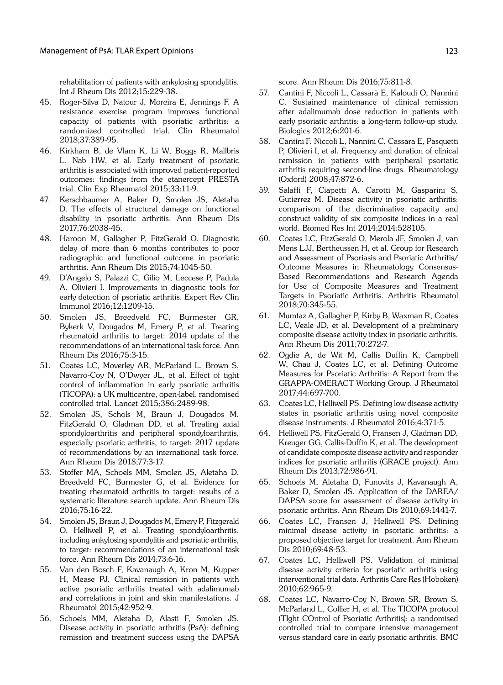rehabilitation of patients with ankylosing spondylitis. Int J Rheum Dis 2012;15:229-38.

- 45. Roger-Silva D, Natour J, Moreira E, Jennings F. A resistance exercise program improves functional capacity of patients with psoriatic arthritis: a randomized controlled trial. Clin Rheumatol 2018;37:389-95.
- 46. Kirkham B, de Vlam K, Li W, Boggs R, Mallbris L, Nab HW, et al. Early treatment of psoriatic arthritis is associated with improved patient-reported outcomes: findings from the etanercept PRESTA trial. Clin Exp Rheumatol 2015;33:11-9.
- 47. Kerschbaumer A, Baker D, Smolen JS, Aletaha D. The effects of structural damage on functional disability in psoriatic arthritis. Ann Rheum Dis 2017;76:2038-45.
- 48. Haroon M, Gallagher P, FitzGerald O. Diagnostic delay of more than 6 months contributes to poor radiographic and functional outcome in psoriatic arthritis. Ann Rheum Dis 2015;74:1045-50.
- 49. D'Angelo S, Palazzi C, Gilio M, Leccese P, Padula A, Olivieri I. Improvements in diagnostic tools for early detection of psoriatic arthritis. Expert Rev Clin Immunol 2016;12:1209-15.
- 50. Smolen JS, Breedveld FC, Burmester GR, Bykerk V, Dougados M, Emery P, et al. Treating rheumatoid arthritis to target: 2014 update of the recommendations of an international task force. Ann Rheum Dis 2016;75:3-15.
- 51. Coates LC, Moverley AR, McParland L, Brown S, Navarro-Coy N, O'Dwyer JL, et al. Effect of tight control of inflammation in early psoriatic arthritis (TICOPA): a UK multicentre, open-label, randomised controlled trial. Lancet 2015;386:2489-98.
- 52. Smolen JS, Schols M, Braun J, Dougados M, FitzGerald O, Gladman DD, et al. Treating axial spondyloarthritis and peripheral spondyloarthritis, especially psoriatic arthritis, to target: 2017 update of recommendations by an international task force. Ann Rheum Dis 2018;77:3-17.
- 53. Stoffer MA, Schoels MM, Smolen JS, Aletaha D, Breedveld FC, Burmester G, et al. Evidence for treating rheumatoid arthritis to target: results of a systematic literature search update. Ann Rheum Dis 2016;75:16-22.
- 54. Smolen JS, Braun J, Dougados M, Emery P, Fitzgerald O, Helliwell P, et al. Treating spondyloarthritis, including ankylosing spondylitis and psoriatic arthritis, to target: recommendations of an international task force. Ann Rheum Dis 2014;73:6-16.
- 55. Van den Bosch F, Kavanaugh A, Kron M, Kupper H, Mease PJ. Clinical remission in patients with active psoriatic arthritis treated with adalimumab and correlations in joint and skin manifestations. J Rheumatol 2015;42:952-9.
- 56. Schoels MM, Aletaha D, Alasti F, Smolen JS. Disease activity in psoriatic arthritis (PsA): defining remission and treatment success using the DAPSA

score. Ann Rheum Dis 2016;75:811-8.

- 57. Cantini F, Niccoli L, Cassarà E, Kaloudi O, Nannini C. Sustained maintenance of clinical remission after adalimumab dose reduction in patients with early psoriatic arthritis: a long-term follow-up study. Biologics 2012;6:201-6.
- 58. Cantini F, Niccoli L, Nannini C, Cassara E, Pasquetti P, Olivieri I, et al. Frequency and duration of clinical remission in patients with peripheral psoriatic arthritis requiring second-line drugs. Rheumatology (Oxford) 2008;47:872-6.
- 59. Salaffi F, Ciapetti A, Carotti M, Gasparini S, Gutierrez M. Disease activity in psoriatic arthritis: comparison of the discriminative capacity and construct validity of six composite indices in a real world. Biomed Res Int 2014;2014:528105.
- 60. Coates LC, FitzGerald O, Merola JF, Smolen J, van Mens LJJ, Bertheussen H, et al. Group for Research and Assessment of Psoriasis and Psoriatic Arthritis/ Outcome Measures in Rheumatology Consensus-Based Recommendations and Research Agenda for Use of Composite Measures and Treatment Targets in Psoriatic Arthritis. Arthritis Rheumatol 2018;70:345-55.
- 61. Mumtaz A, Gallagher P, Kirby B, Waxman R, Coates LC, Veale JD, et al. Development of a preliminary composite disease activity index in psoriatic arthritis. Ann Rheum Dis 2011;70:272-7.
- 62. Ogdie A, de Wit M, Callis Duffin K, Campbell W, Chau J, Coates LC, et al. Defining Outcome Measures for Psoriatic Arthritis: A Report from the GRAPPA-OMERACT Working Group. J Rheumatol 2017;44:697-700.
- 63. Coates LC, Helliwell PS. Defining low disease activity states in psoriatic arthritis using novel composite disease instruments. J Rheumatol 2016;4:371-5.
- 64. Helliwell PS, FitzGerald O, Fransen J, Gladman DD, Kreuger GG, Callis-Duffin K, et al. The development of candidate composite disease activity and responder indices for psoriatic arthritis (GRACE project). Ann Rheum Dis 2013;72:986-91.
- 65. Schoels M, Aletaha D, Funovits J, Kavanaugh A, Baker D, Smolen JS. Application of the DAREA/ DAPSA score for assessment of disease activity in psoriatic arthritis. Ann Rheum Dis 2010;69:1441-7.
- 66. Coates LC, Fransen J, Helliwell PS. Defining minimal disease activity in psoriatic arthritis: a proposed objective target for treatment. Ann Rheum Dis 2010;69:48-53.
- 67. Coates LC, Helliwell PS. Validation of minimal disease activity criteria for psoriatic arthritis using interventional trial data. Arthritis Care Res (Hoboken) 2010;62:965-9.
- 68. Coates LC, Navarro-Coy N, Brown SR, Brown S, McParland L, Collier H, et al. The TICOPA protocol (TIght COntrol of Psoriatic Arthritis): a randomised controlled trial to compare intensive management versus standard care in early psoriatic arthritis. BMC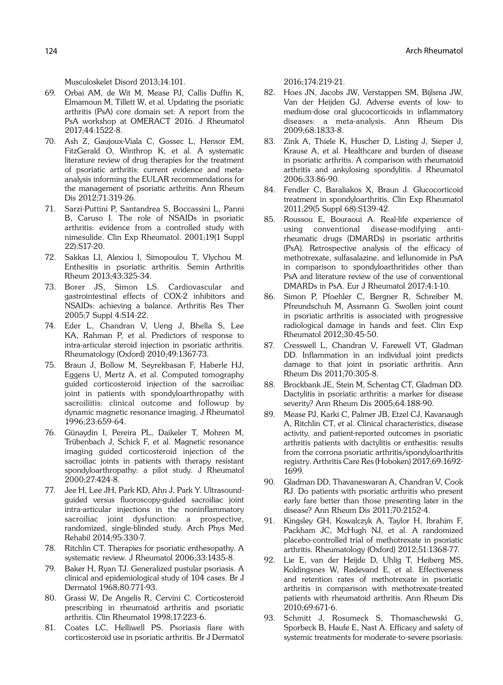Musculoskelet Disord 2013;14:101.

- 69. Orbai AM, de Wit M, Mease PJ, Callis Duffin K, Elmamoun M, Tillett W, et al. Updating the psoriatic arthritis (PsA) core domain set: A report from the PsA workshop at OMERACT 2016. J Rheumatol 2017;44:1522-8.
- 70. Ash Z, Gaujoux-Viala C, Gossec L, Hensor EM, FitzGerald O, Winthrop K, et al. A systematic literature review of drug therapies for the treatment of psoriatic arthritis: current evidence and metaanalysis informing the EULAR recommendations for the management of psoriatic arthritis. Ann Rheum Dis 2012;71:319-26.
- 71. Sarzi-Puttini P, Santandrea S, Boccassini L, Panni B, Caruso I. The role of NSAIDs in psoriatic arthritis: evidence from a controlled study with nimesulide. Clin Exp Rheumatol. 2001;19(1 Suppl 22):S17-20.
- 72. Sakkas LI, Alexiou I, Simopoulou T, Vlychou M. Enthesitis in psoriatic arthritis. Semin Arthritis Rheum 2013;43:325-34.
- 73. Borer JS, Simon LS. Cardiovascular and gastrointestinal effects of COX-2 inhibitors and NSAIDs: achieving a balance. Arthritis Res Ther 2005;7 Suppl 4:S14-22.
- 74. Eder L, Chandran V, Ueng J, Bhella S, Lee KA, Rahman P, et al. Predictors of response to intra-articular steroid injection in psoriatic arthritis. Rheumatology (Oxford) 2010;49:1367-73.
- 75. Braun J, Bollow M, Seyrekbasan F, Haberle HJ, Eggens U, Mertz A, et al. Computed tomography guided corticosteroid injection of the sacroiliac joint in patients with spondyloarthropathy with sacroiliitis: clinical outcome and followup by dynamic magnetic resonance imaging. J Rheumatol 1996;23:659-64.
- 76. Günaydin I, Pereira PL, Daikeler T, Mohren M, Trübenbach J, Schick F, et al. Magnetic resonance imaging guided corticosteroid injection of the sacroiliac joints in patients with therapy resistant spondyloarthropathy: a pilot study. J Rheumatol 2000;27:424-8.
- 77. Jee H, Lee JH, Park KD, Ahn J, Park Y. Ultrasoundguided versus fluoroscopy-guided sacroiliac joint intra-articular injections in the noninflammatory sacroiliac joint dysfunction: a prospective, randomized, single-blinded study. Arch Phys Med Rehabil 2014;95:330-7.
- 78. Ritchlin CT. Therapies for psoriatic enthesopathy. A systematic review. J Rheumatol 2006;33:1435-8.
- 79. Baker H, Ryan TJ. Generalized pustular psoriasis. A clinical and epidemiological study of 104 cases. Br J Dermatol 1968;80:771-93.
- 80. Grassi W, De Angelis R, Cervini C. Corticosteroid prescribing in rheumatoid arthritis and psoriatic arthritis. Clin Rheumatol 1998;17:223-6.
- 81. Coates LC, Helliwell PS. Psoriasis flare with corticosteroid use in psoriatic arthritis. Br J Dermatol

2016;174:219-21.

- 82. Hoes JN, Jacobs JW, Verstappen SM, Bijlsma JW, Van der Heijden GJ. Adverse events of low- to medium-dose oral glucocorticoids in inflammatory diseases: a meta-analysis. Ann Rheum Dis 2009;68:1833-8.
- 83. Zink A, Thiele K, Huscher D, Listing J, Sieper J, Krause A, et al. Healthcare and burden of disease in psoriatic arthritis. A comparison with rheumatoid arthritis and ankylosing spondylitis. J Rheumatol 2006;33:86-90.
- 84. Fendler C, Baraliakos X, Braun J. Glucocorticoid treatment in spondyloarthritis. Clin Exp Rheumatol 2011;29(5 Suppl 68):S139-42.
- 85. Roussou E, Bouraoui A. Real-life experience of using conventional disease-modifying antirheumatic drugs (DMARDs) in psoriatic arthritis (PsA). Retrospective analysis of the efficacy of methotrexate, sulfasalazine, and leflunomide in PsA in comparison to spondyloarthritides other than PsA and literature review of the use of conventional DMARDs in PsA. Eur J Rheumatol 2017;4:1-10.
- 86. Simon P, Pfoehler C, Bergner R, Schreiber M, Pfreundschuh M, Assmann G. Swollen joint count in psoriatic arthritis is associated with progressive radiological damage in hands and feet. Clin Exp Rheumatol 2012;30:45-50.
- 87. Cresswell L, Chandran V, Farewell VT, Gladman DD. Inflammation in an individual joint predicts damage to that joint in psoriatic arthritis. Ann Rheum Dis 2011;70:305-8.
- 88. Brockbank JE, Stein M, Schentag CT, Gladman DD. Dactylitis in psoriatic arthritis: a marker for disease severity? Ann Rheum Dis 2005;64:188-90.
- 89. Mease PJ, Karki C, Palmer JB, Etzel CJ, Kavanaugh A, Ritchlin CT, et al. Clinical characteristics, disease activity, and patient-reported outcomes in psoriatic arthritis patients with dactylitis or enthesitis: results from the corrona psoriatic arthritis/spondyloarthritis registry. Arthritis Care Res (Hoboken) 2017;69:1692- 1699.
- 90. Gladman DD, Thavaneswaran A, Chandran V, Cook RJ. Do patients with psoriatic arthritis who present early fare better than those presenting later in the disease? Ann Rheum Dis 2011;70:2152-4.
- 91. Kingsley GH, Kowalczyk A, Taylor H, Ibrahim F, Packham JC, McHugh NJ, et al. A randomized placebo-controlled trial of methotrexate in psoriatic arthritis. Rheumatology (Oxford) 2012;51:1368-77.
- 92. Lie E, van der Heijde D, Uhlig T, Heiberg MS, Koldingsnes W, Rødevand E, et al. Effectiveness and retention rates of methotrexate in psoriatic arthritis in comparison with methotrexate-treated patients with rheumatoid arthritis. Ann Rheum Dis 2010;69:671-6.
- 93. Schmitt J, Rosumeck S, Thomaschewski G, Sporbeck B, Haufe E, Nast A. Efficacy and safety of systemic treatments for moderate-to-severe psoriasis: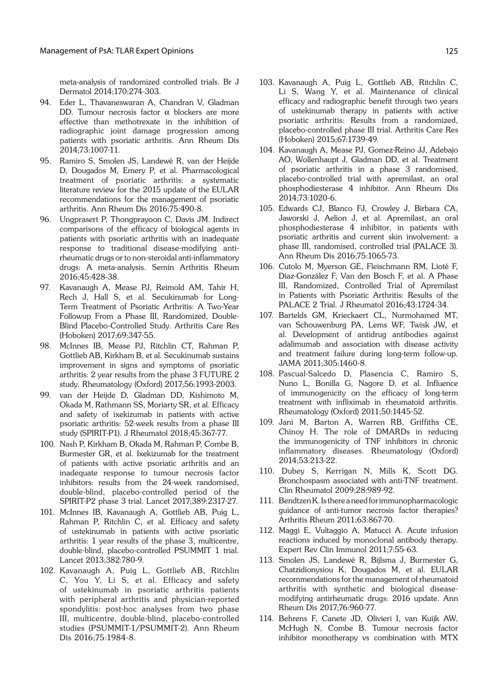meta-analysis of randomized controlled trials. Br J Dermatol 2014;170:274-303.

- 94. Eder L, Thavaneswaran A, Chandran V, Gladman DD. Tumour necrosis factor  $\alpha$  blockers are more effective than methotrexate in the inhibition of radiographic joint damage progression among patients with psoriatic arthritis. Ann Rheum Dis 2014;73:1007-11.
- 95. Ramiro S, Smolen JS, Landewé R, van der Heijde D, Dougados M, Emery P, et al. Pharmacological treatment of psoriatic arthritis: a systematic literature review for the 2015 update of the EULAR recommendations for the management of psoriatic arthritis. Ann Rheum Dis 2016;75:490-8.
- 96. Ungprasert P, Thongprayoon C, Davis JM. Indirect comparisons of the efficacy of biological agents in patients with psoriatic arthritis with an inadequate response to traditional disease-modifying antirheumatic drugs or to non-steroidal anti-inflammatory drugs: A meta-analysis. Semin Arthritis Rheum 2016;45:428-38.
- 97. Kavanaugh A, Mease PJ, Reimold AM, Tahir H, Rech J, Hall S, et al. Secukinumab for Long-Term Treatment of Psoriatic Arthritis: A Two-Year Followup From a Phase III, Randomized, Double-Blind Placebo-Controlled Study. Arthritis Care Res (Hoboken) 2017;69:347-55.
- 98. McInnes IB, Mease PJ, Ritchlin CT, Rahman P, Gottlieb AB, Kirkham B, et al. Secukinumab sustains improvement in signs and symptoms of psoriatic arthritis: 2 year results from the phase 3 FUTURE 2 study. Rheumatology (Oxford) 2017;56:1993-2003.
- 99. van der Heijde D, Gladman DD, Kishimoto M, Okada M, Rathmann SS, Moriarty SR, et al. Efficacy and safety of ixekizumab in patients with active psoriatic arthritis: 52-week results from a phase III study (SPIRIT-P1). J Rheumatol 2018;45:367-77.
- 100. Nash P, Kirkham B, Okada M, Rahman P, Combe B, Burmester GR, et al. Ixekizumab for the treatment of patients with active psoriatic arthritis and an inadequate response to tumour necrosis factor inhibitors: results from the 24-week randomised, double-blind, placebo-controlled period of the SPIRIT-P2 phase 3 trial. Lancet 2017;389:2317-27.
- 101. McInnes IB, Kavanaugh A, Gottlieb AB, Puig L, Rahman P, Ritchlin C, et al. Efficacy and safety of ustekinumab in patients with active psoriatic arthritis: 1 year results of the phase 3, multicentre, double-blind, placebo-controlled PSUMMIT 1 trial. Lancet 2013;382:780-9.
- 102. Kavanaugh A, Puig L, Gottlieb AB, Ritchlin C, You Y, Li S, et al. Efficacy and safety of ustekinumab in psoriatic arthritis patients with peripheral arthritis and physician-reported spondylitis: post-hoc analyses from two phase III, multicentre, double-blind, placebo-controlled studies (PSUMMIT-1/PSUMMIT-2). Ann Rheum Dis 2016;75:1984-8.
- 103. Kavanaugh A, Puig L, Gottlieb AB, Ritchlin C, Li S, Wang Y, et al. Maintenance of clinical efficacy and radiographic benefit through two years of ustekinumab therapy in patients with active psoriatic arthritis: Results from a randomized, placebo-controlled phase III trial. Arthritis Care Res (Hoboken) 2015;67:1739-49.
- 104. Kavanaugh A, Mease PJ, Gomez-Reino JJ, Adebajo AO, Wollenhaupt J, Gladman DD, et al. Treatment of psoriatic arthritis in a phase 3 randomised, placebo-controlled trial with apremilast, an oral phosphodiesterase 4 inhibitor. Ann Rheum Dis 2014;73:1020-6.
- 105. Edwards CJ, Blanco FJ, Crowley J, Birbara CA, Jaworski J, Aelion J, et al. Apremilast, an oral phosphodiesterase 4 inhibitor, in patients with psoriatic arthritis and current skin involvement: a phase III, randomised, controlled trial (PALACE 3). Ann Rheum Dis 2016;75:1065-73.
- 106. Cutolo M, Myerson GE, Fleischmann RM, Lioté F, Díaz-González F, Van den Bosch F, et al. A Phase III, Randomized, Controlled Trial of Apremilast in Patients with Psoriatic Arthritis: Results of the PALACE 2 Trial. J Rheumatol 2016;43:1724-34.
- 107. Bartelds GM, Krieckaert CL, Nurmohamed MT, van Schouwenburg PA, Lems WF, Twisk JW, et al. Development of antidrug antibodies against adalimumab and association with disease activity and treatment failure during long-term follow-up. JAMA 2011;305:1460-8.
- 108. Pascual-Salcedo D, Plasencia C, Ramiro S, Nuno L, Bonilla G, Nagore D, et al. Influence of immunogenicity on the efficacy of long-term treatment with infliximab in rheumatoid arthritis. Rheumatology (Oxford) 2011;50:1445-52.
- 109. Jani M, Barton A, Warren RB, Griffiths CE, Chinoy H. The role of DMARDs in reducing the immunogenicity of TNF inhibitors in chronic inflammatory diseases. Rheumatology (Oxford) 2014;53:213-22.
- 110. Dubey S, Kerrigan N, Mills K, Scott DG. Bronchospasm associated with anti-TNF treatment. Clin Rheumatol 2009;28:989-92.
- 111. Bendtzen K. Is there a need for immunopharmacologic guidance of anti-tumor necrosis factor therapies? Arthritis Rheum 2011;63:867-70.
- 112. Maggi E, Vultaggio A, Matucci A. Acute infusion reactions induced by monoclonal antibody therapy. Expert Rev Clin Immunol 2011;7:55-63.
- 113. Smolen JS, Landewé R, Bijlsma J, Burmester G, Chatzidionysiou K, Dougados M, et al. EULAR recommendations for the management of rheumatoid arthritis with synthetic and biological diseasemodifying antirheumatic drugs: 2016 update. Ann Rheum Dis 2017;76:960-77.
- 114. Behrens F, Canete JD, Olivieri I, van Kuijk AW, McHugh N, Combe B. Tumour necrosis factor inhibitor monotherapy vs combination with MTX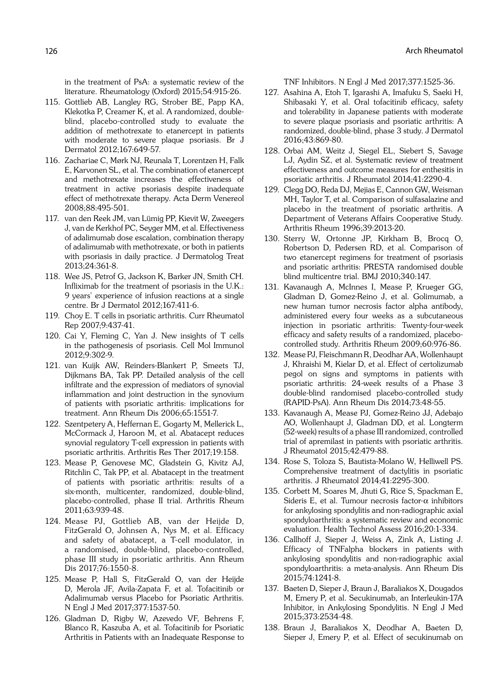in the treatment of PsA: a systematic review of the literature. Rheumatology (Oxford) 2015;54:915-26.

- 115. Gottlieb AB, Langley RG, Strober BE, Papp KA, Klekotka P, Creamer K, et al. A randomized, doubleblind, placebo-controlled study to evaluate the addition of methotrexate to etanercept in patients with moderate to severe plaque psoriasis. Br J Dermatol 2012;167:649-57.
- 116. Zachariae C, Mørk NJ, Reunala T, Lorentzen H, Falk E, Karvonen SL, et al. The combination of etanercept and methotrexate increases the effectiveness of treatment in active psoriasis despite inadequate effect of methotrexate therapy. Acta Derm Venereol 2008;88:495-501.
- 117. van den Reek JM, van Lümig PP, Kievit W, Zweegers J, van de Kerkhof PC, Seyger MM, et al. Effectiveness of adalimumab dose escalation, combination therapy of adalimumab with methotrexate, or both in patients with psoriasis in daily practice. J Dermatolog Treat 2013;24:361-8.
- 118. Wee JS, Petrof G, Jackson K, Barker JN, Smith CH. Infliximab for the treatment of psoriasis in the U.K.: 9 years' experience of infusion reactions at a single centre. Br J Dermatol 2012;167:411-6.
- 119. Choy E. T cells in psoriatic arthritis. Curr Rheumatol Rep 2007;9:437-41.
- 120. Cai Y, Fleming C, Yan J. New insights of T cells in the pathogenesis of psoriasis. Cell Mol Immunol 2012;9:302-9.
- 121. van Kuijk AW, Reinders-Blankert P, Smeets TJ, Dijkmans BA, Tak PP. Detailed analysis of the cell infiltrate and the expression of mediators of synovial inflammation and joint destruction in the synovium of patients with psoriatic arthritis: implications for treatment. Ann Rheum Dis 2006;65:1551-7.
- 122. Szentpetery A, Heffernan E, Gogarty M, Mellerick L, McCormack J, Haroon M, et al. Abatacept reduces synovial regulatory T-cell expression in patients with psoriatic arthritis. Arthritis Res Ther 2017;19:158.
- 123. Mease P, Genovese MC, Gladstein G, Kivitz AJ, Ritchlin C, Tak PP, et al. Abatacept in the treatment of patients with psoriatic arthritis: results of a six-month, multicenter, randomized, double-blind, placebo-controlled, phase II trial. Arthritis Rheum 2011;63:939-48.
- 124. Mease PJ, Gottlieb AB, van der Heijde D, FitzGerald O, Johnsen A, Nys M, et al. Efficacy and safety of abatacept, a T-cell modulator, in a randomised, double-blind, placebo-controlled, phase III study in psoriatic arthritis. Ann Rheum Dis 2017;76:1550-8.
- 125. Mease P, Hall S, FitzGerald O, van der Heijde D, Merola JF, Avila-Zapata F, et al. Tofacitinib or Adalimumab versus Placebo for Psoriatic Arthritis. N Engl J Med 2017;377:1537-50.
- 126. Gladman D, Rigby W, Azevedo VF, Behrens F, Blanco R, Kaszuba A, et al. Tofacitinib for Psoriatic Arthritis in Patients with an Inadequate Response to

TNF Inhibitors. N Engl J Med 2017;377:1525-36.

- 127. Asahina A, Etoh T, Igarashi A, Imafuku S, Saeki H, Shibasaki Y, et al. Oral tofacitinib efficacy, safety and tolerability in Japanese patients with moderate to severe plaque psoriasis and psoriatic arthritis: A randomized, double-blind, phase 3 study. J Dermatol 2016;43:869-80.
- 128. Orbai AM, Weitz J, Siegel EL, Siebert S, Savage LJ, Aydin SZ, et al. Systematic review of treatment effectiveness and outcome measures for enthesitis in psoriatic arthritis. J Rheumatol 2014;41:2290-4.
- 129. Clegg DO, Reda DJ, Mejias E, Cannon GW, Weisman MH, Taylor T, et al. Comparison of sulfasalazine and placebo in the treatment of psoriatic arthritis. A Department of Veterans Affairs Cooperative Study. Arthritis Rheum 1996;39:2013-20.
- 130. Sterry W, Ortonne JP, Kirkham B, Brocq O, Robertson D, Pedersen RD, et al. Comparison of two etanercept regimens for treatment of psoriasis and psoriatic arthritis: PRESTA randomised double blind multicentre trial. BMJ 2010;340:147.
- 131. Kavanaugh A, McInnes I, Mease P, Krueger GG, Gladman D, Gomez-Reino J, et al. Golimumab, a new human tumor necrosis factor alpha antibody, administered every four weeks as a subcutaneous injection in psoriatic arthritis: Twenty-four-week efficacy and safety results of a randomized, placebocontrolled study. Arthritis Rheum 2009;60:976-86.
- 132. Mease PJ, Fleischmann R, Deodhar AA, Wollenhaupt J, Khraishi M, Kielar D, et al. Effect of certolizumab pegol on signs and symptoms in patients with psoriatic arthritis: 24-week results of a Phase 3 double-blind randomised placebo-controlled study (RAPID-PsA). Ann Rheum Dis 2014;73:48-55.
- 133. Kavanaugh A, Mease PJ, Gomez-Reino JJ, Adebajo AO, Wollenhaupt J, Gladman DD, et al. Longterm (52-week) results of a phase III randomized, controlled trial of apremilast in patients with psoriatic arthritis. J Rheumatol 2015;42:479-88.
- 134. Rose S, Toloza S, Bautista-Molano W, Helliwell PS. Comprehensive treatment of dactylitis in psoriatic arthritis. J Rheumatol 2014;41:2295-300.
- 135. Corbett M, Soares M, Jhuti G, Rice S, Spackman E, Sideris E, et al. Tumour necrosis factor- $\alpha$  inhibitors for ankylosing spondylitis and non-radiographic axial spondyloarthritis: a systematic review and economic evaluation. Health Technol Assess 2016;20:1-334.
- 136. Callhoff J, Sieper J, Weiss A, Zink A, Listing J. Efficacy of TNFalpha blockers in patients with ankylosing spondylitis and non-radiographic axial spondyloarthritis: a meta-analysis. Ann Rheum Dis 2015;74:1241-8.
- 137. Baeten D, Sieper J, Braun J, Baraliakos X, Dougados M, Emery P, et al. Secukinumab, an Interleukin-17A Inhibitor, in Ankylosing Spondylitis. N Engl J Med 2015;373:2534-48.
- 138. Braun J, Baraliakos X, Deodhar A, Baeten D, Sieper J, Emery P, et al. Effect of secukinumab on